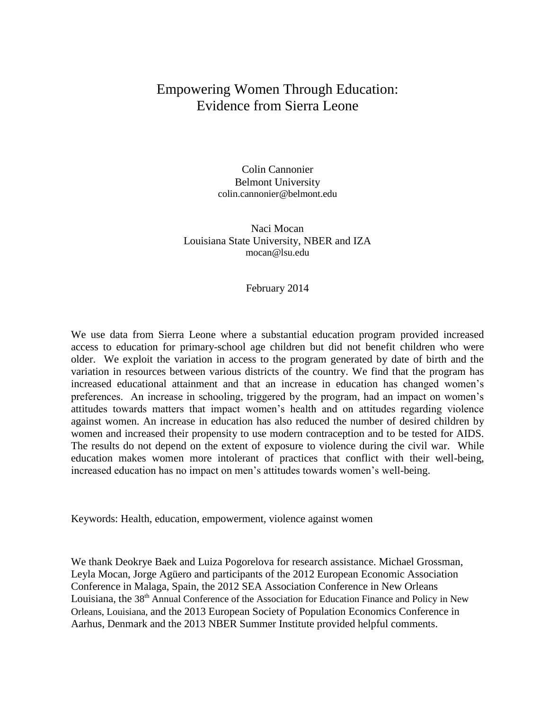# Empowering Women Through Education: Evidence from Sierra Leone

Colin Cannonier Belmont University colin.cannonier@belmont.edu

Naci Mocan Louisiana State University, NBER and IZA mocan@lsu.edu

February 2014

We use data from Sierra Leone where a substantial education program provided increased access to education for primary-school age children but did not benefit children who were older. We exploit the variation in access to the program generated by date of birth and the variation in resources between various districts of the country. We find that the program has increased educational attainment and that an increase in education has changed women's preferences. An increase in schooling, triggered by the program, had an impact on women's attitudes towards matters that impact women's health and on attitudes regarding violence against women. An increase in education has also reduced the number of desired children by women and increased their propensity to use modern contraception and to be tested for AIDS. The results do not depend on the extent of exposure to violence during the civil war. While education makes women more intolerant of practices that conflict with their well-being, increased education has no impact on men's attitudes towards women's well-being.

Keywords: Health, education, empowerment, violence against women

We thank Deokrye Baek and Luiza Pogorelova for research assistance. Michael Grossman, Leyla Mocan, Jorge Agüero and participants of the 2012 European Economic Association Conference in Malaga, Spain, the 2012 SEA Association Conference in New Orleans Louisiana, the 38<sup>th</sup> Annual Conference of the Association for Education Finance and Policy in New Orleans, Louisiana, and the 2013 European Society of Population Economics Conference in Aarhus, Denmark and the 2013 NBER Summer Institute provided helpful comments.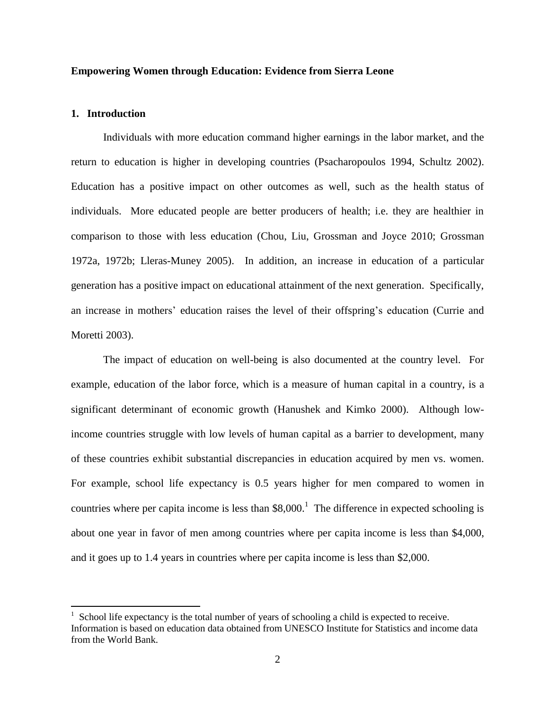#### **Empowering Women through Education: Evidence from Sierra Leone**

# **1. Introduction**

 $\overline{a}$ 

Individuals with more education command higher earnings in the labor market, and the return to education is higher in developing countries (Psacharopoulos 1994, Schultz 2002). Education has a positive impact on other outcomes as well, such as the health status of individuals. More educated people are better producers of health; i.e. they are healthier in comparison to those with less education (Chou, Liu, Grossman and Joyce 2010; Grossman 1972a, 1972b; Lleras-Muney 2005). In addition, an increase in education of a particular generation has a positive impact on educational attainment of the next generation. Specifically, an increase in mothers' education raises the level of their offspring's education (Currie and Moretti 2003).

The impact of education on well-being is also documented at the country level. For example, education of the labor force, which is a measure of human capital in a country, is a significant determinant of economic growth (Hanushek and Kimko 2000). Although lowincome countries struggle with low levels of human capital as a barrier to development, many of these countries exhibit substantial discrepancies in education acquired by men vs. women. For example, school life expectancy is 0.5 years higher for men compared to women in countries where per capita income is less than  $$8,000$ .<sup>1</sup> The difference in expected schooling is about one year in favor of men among countries where per capita income is less than \$4,000, and it goes up to 1.4 years in countries where per capita income is less than \$2,000.

<sup>1</sup> School life expectancy is the total number of years of schooling a child is expected to receive. Information is based on education data obtained from UNESCO Institute for Statistics and income data from the World Bank.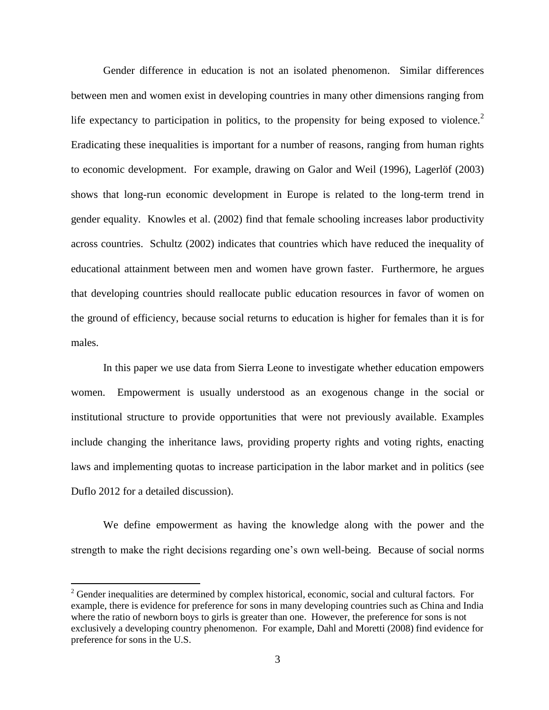Gender difference in education is not an isolated phenomenon. Similar differences between men and women exist in developing countries in many other dimensions ranging from life expectancy to participation in politics, to the propensity for being exposed to violence.<sup>2</sup> Eradicating these inequalities is important for a number of reasons, ranging from human rights to economic development. For example, drawing on Galor and Weil (1996), Lagerlöf (2003) shows that long-run economic development in Europe is related to the long-term trend in gender equality. Knowles et al. (2002) find that female schooling increases labor productivity across countries. Schultz (2002) indicates that countries which have reduced the inequality of educational attainment between men and women have grown faster. Furthermore, he argues that developing countries should reallocate public education resources in favor of women on the ground of efficiency, because social returns to education is higher for females than it is for males.

In this paper we use data from Sierra Leone to investigate whether education empowers women. Empowerment is usually understood as an exogenous change in the social or institutional structure to provide opportunities that were not previously available. Examples include changing the inheritance laws, providing property rights and voting rights, enacting laws and implementing quotas to increase participation in the labor market and in politics (see Duflo 2012 for a detailed discussion).

We define empowerment as having the knowledge along with the power and the strength to make the right decisions regarding one's own well-being. Because of social norms

<sup>&</sup>lt;sup>2</sup> Gender inequalities are determined by complex historical, economic, social and cultural factors. For example, there is evidence for preference for sons in many developing countries such as China and India where the ratio of newborn boys to girls is greater than one. However, the preference for sons is not exclusively a developing country phenomenon. For example, Dahl and Moretti (2008) find evidence for preference for sons in the U.S.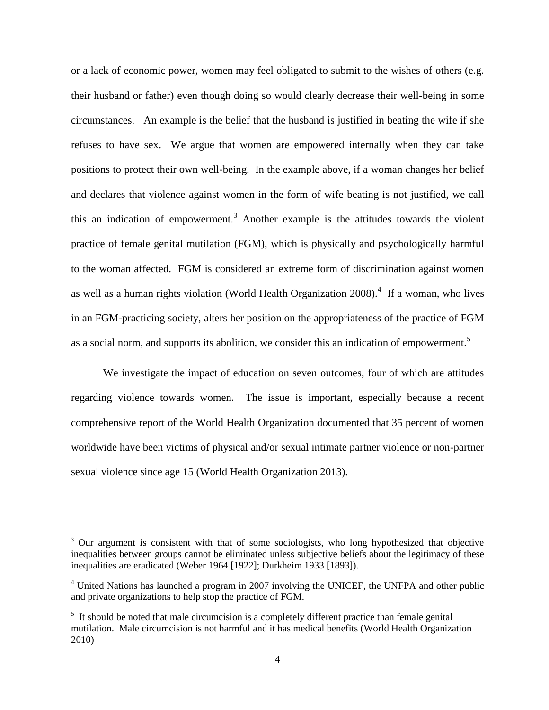or a lack of economic power, women may feel obligated to submit to the wishes of others (e.g. their husband or father) even though doing so would clearly decrease their well-being in some circumstances. An example is the belief that the husband is justified in beating the wife if she refuses to have sex. We argue that women are empowered internally when they can take positions to protect their own well-being. In the example above, if a woman changes her belief and declares that violence against women in the form of wife beating is not justified, we call this an indication of empowerment.<sup>3</sup> Another example is the attitudes towards the violent practice of female genital mutilation (FGM), which is physically and psychologically harmful to the woman affected. FGM is considered an extreme form of discrimination against women as well as a human rights violation (World Health Organization  $2008$ ).<sup>4</sup> If a woman, who lives in an FGM-practicing society, alters her position on the appropriateness of the practice of FGM as a social norm, and supports its abolition, we consider this an indication of empowerment.<sup>5</sup>

We investigate the impact of education on seven outcomes, four of which are attitudes regarding violence towards women. The issue is important, especially because a recent comprehensive report of the World Health Organization documented that 35 percent of women worldwide have been victims of physical and/or sexual intimate partner violence or non-partner sexual violence since age 15 (World Health Organization 2013).

<sup>&</sup>lt;sup>3</sup> Our argument is consistent with that of some sociologists, who long hypothesized that objective inequalities between groups cannot be eliminated unless subjective beliefs about the legitimacy of these inequalities are eradicated (Weber 1964 [1922]; Durkheim 1933 [1893]).

<sup>&</sup>lt;sup>4</sup> United Nations has launched a program in 2007 involving the UNICEF, the UNFPA and other public and private organizations to help stop the practice of FGM.

 $<sup>5</sup>$  It should be noted that male circumcision is a completely different practice than female genital</sup> mutilation. Male circumcision is not harmful and it has medical benefits (World Health Organization 2010)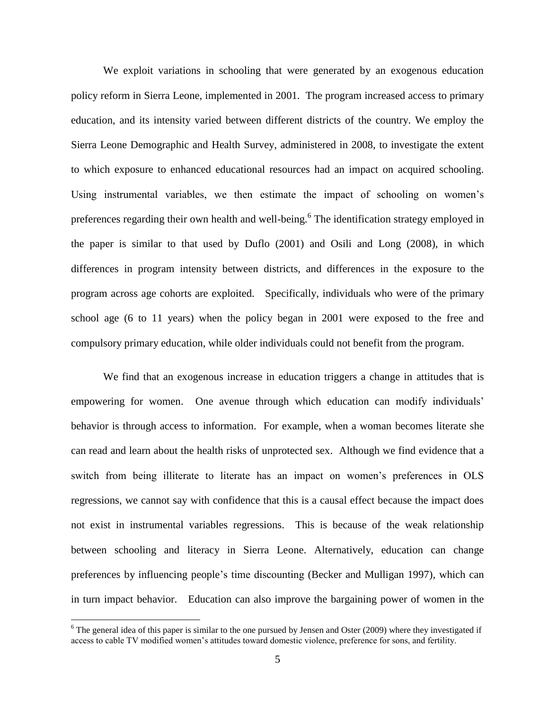We exploit variations in schooling that were generated by an exogenous education policy reform in Sierra Leone, implemented in 2001. The program increased access to primary education, and its intensity varied between different districts of the country. We employ the Sierra Leone Demographic and Health Survey, administered in 2008, to investigate the extent to which exposure to enhanced educational resources had an impact on acquired schooling. Using instrumental variables, we then estimate the impact of schooling on women's preferences regarding their own health and well-being.<sup>6</sup> The identification strategy employed in the paper is similar to that used by Duflo (2001) and Osili and Long (2008), in which differences in program intensity between districts, and differences in the exposure to the program across age cohorts are exploited. Specifically, individuals who were of the primary school age (6 to 11 years) when the policy began in 2001 were exposed to the free and compulsory primary education, while older individuals could not benefit from the program.

We find that an exogenous increase in education triggers a change in attitudes that is empowering for women. One avenue through which education can modify individuals' behavior is through access to information. For example, when a woman becomes literate she can read and learn about the health risks of unprotected sex. Although we find evidence that a switch from being illiterate to literate has an impact on women's preferences in OLS regressions, we cannot say with confidence that this is a causal effect because the impact does not exist in instrumental variables regressions. This is because of the weak relationship between schooling and literacy in Sierra Leone. Alternatively, education can change preferences by influencing people's time discounting (Becker and Mulligan 1997), which can in turn impact behavior. Education can also improve the bargaining power of women in the

 $6$  The general idea of this paper is similar to the one pursued by Jensen and Oster (2009) where they investigated if access to cable TV modified women's attitudes toward domestic violence, preference for sons, and fertility.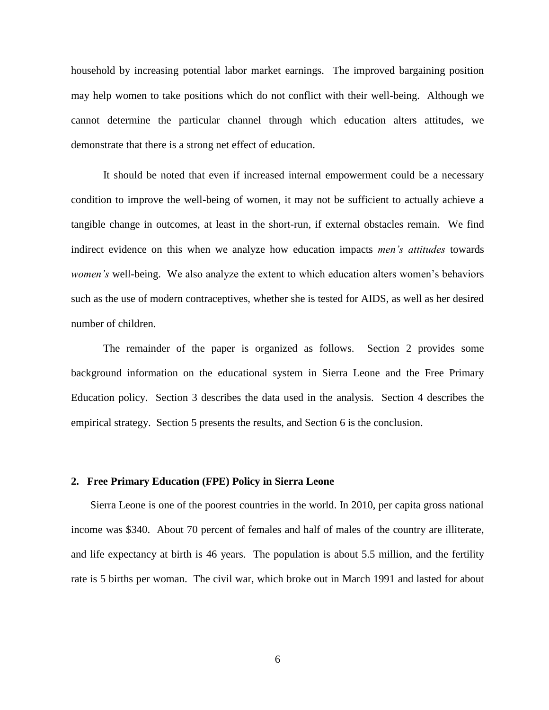household by increasing potential labor market earnings. The improved bargaining position may help women to take positions which do not conflict with their well-being. Although we cannot determine the particular channel through which education alters attitudes, we demonstrate that there is a strong net effect of education.

It should be noted that even if increased internal empowerment could be a necessary condition to improve the well-being of women, it may not be sufficient to actually achieve a tangible change in outcomes, at least in the short-run, if external obstacles remain. We find indirect evidence on this when we analyze how education impacts *men's attitudes* towards *women's* well-being. We also analyze the extent to which education alters women's behaviors such as the use of modern contraceptives, whether she is tested for AIDS, as well as her desired number of children.

The remainder of the paper is organized as follows. Section 2 provides some background information on the educational system in Sierra Leone and the Free Primary Education policy. Section 3 describes the data used in the analysis. Section 4 describes the empirical strategy. Section 5 presents the results, and Section 6 is the conclusion.

#### **2. Free Primary Education (FPE) Policy in Sierra Leone**

Sierra Leone is one of the poorest countries in the world. In 2010, per capita gross national income was \$340. About 70 percent of females and half of males of the country are illiterate, and life expectancy at birth is 46 years. The population is about 5.5 million, and the fertility rate is 5 births per woman. The civil war, which broke out in March 1991 and lasted for about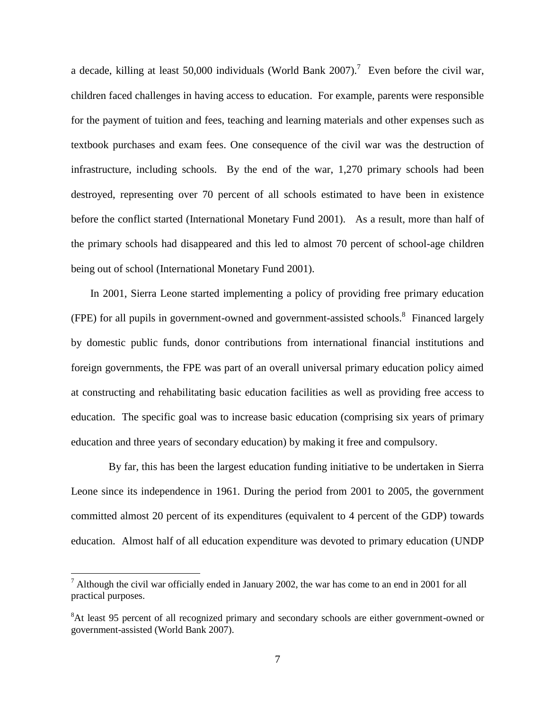a decade, killing at least 50,000 individuals (World Bank 2007).<sup>7</sup> Even before the civil war, children faced challenges in having access to education. For example, parents were responsible for the payment of tuition and fees, teaching and learning materials and other expenses such as textbook purchases and exam fees. One consequence of the civil war was the destruction of infrastructure, including schools. By the end of the war, 1,270 primary schools had been destroyed, representing over 70 percent of all schools estimated to have been in existence before the conflict started (International Monetary Fund 2001). As a result, more than half of the primary schools had disappeared and this led to almost 70 percent of school-age children being out of school (International Monetary Fund 2001).

In 2001, Sierra Leone started implementing a policy of providing free primary education (FPE) for all pupils in government-owned and government-assisted schools.<sup>8</sup> Financed largely by domestic public funds, donor contributions from international financial institutions and foreign governments, the FPE was part of an overall universal primary education policy aimed at constructing and rehabilitating basic education facilities as well as providing free access to education. The specific goal was to increase basic education (comprising six years of primary education and three years of secondary education) by making it free and compulsory.

 By far, this has been the largest education funding initiative to be undertaken in Sierra Leone since its independence in 1961. During the period from 2001 to 2005, the government committed almost 20 percent of its expenditures (equivalent to 4 percent of the GDP) towards education. Almost half of all education expenditure was devoted to primary education (UNDP

 $<sup>7</sup>$  Although the civil war officially ended in January 2002, the war has come to an end in 2001 for all</sup> practical purposes.

<sup>&</sup>lt;sup>8</sup>At least 95 percent of all recognized primary and secondary schools are either government-owned or government-assisted (World Bank 2007).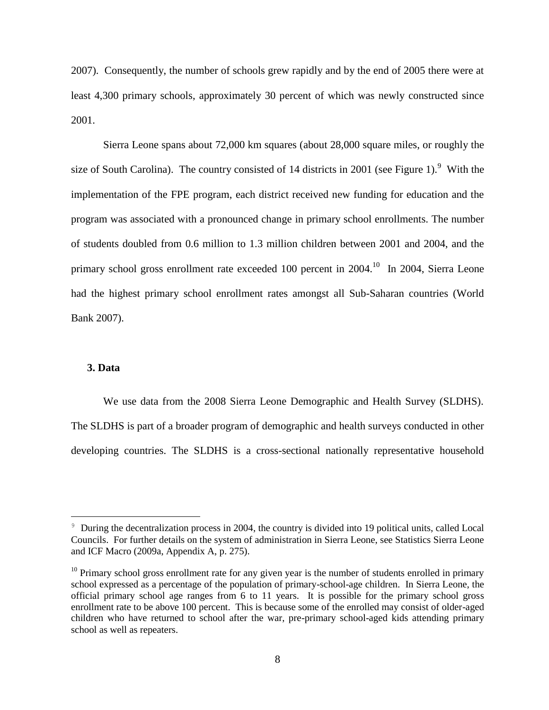2007). Consequently, the number of schools grew rapidly and by the end of 2005 there were at least 4,300 primary schools, approximately 30 percent of which was newly constructed since 2001.

Sierra Leone spans about 72,000 km squares (about 28,000 square miles, or roughly the size of South Carolina). The country consisted of 14 districts in 2001 (see Figure 1). <sup>9</sup> With the implementation of the FPE program, each district received new funding for education and the program was associated with a pronounced change in primary school enrollments. The number of students doubled from 0.6 million to 1.3 million children between 2001 and 2004, and the primary school gross enrollment rate exceeded 100 percent in  $2004$ .<sup>10</sup> In 2004, Sierra Leone had the highest primary school enrollment rates amongst all Sub-Saharan countries (World Bank 2007).

#### **3. Data**

 $\overline{a}$ 

We use data from the 2008 Sierra Leone Demographic and Health Survey (SLDHS). The SLDHS is part of a broader program of demographic and health surveys conducted in other developing countries. The SLDHS is a cross-sectional nationally representative household

<sup>&</sup>lt;sup>9</sup> During the decentralization process in 2004, the country is divided into 19 political units, called Local Councils. For further details on the system of administration in Sierra Leone, see Statistics Sierra Leone and ICF Macro (2009a, Appendix A, p. 275).

 $10$  Primary school gross enrollment rate for any given year is the number of students enrolled in primary school expressed as a percentage of the population of primary-school-age children. In Sierra Leone, the official primary school age ranges from 6 to 11 years. It is possible for the primary school gross enrollment rate to be above 100 percent. This is because some of the enrolled may consist of older-aged children who have returned to school after the war, pre-primary school-aged kids attending primary school as well as repeaters.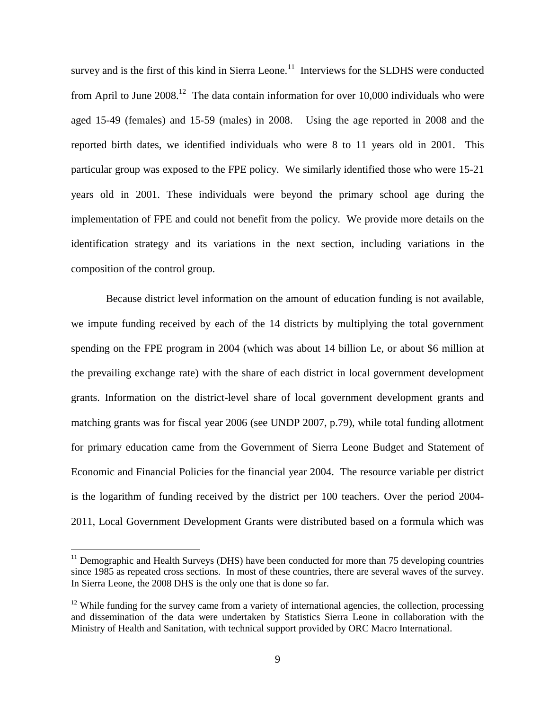survey and is the first of this kind in Sierra Leone.<sup>11</sup> Interviews for the SLDHS were conducted from April to June  $2008<sup>12</sup>$ . The data contain information for over 10,000 individuals who were aged 15-49 (females) and 15-59 (males) in 2008. Using the age reported in 2008 and the reported birth dates, we identified individuals who were 8 to 11 years old in 2001. This particular group was exposed to the FPE policy. We similarly identified those who were 15-21 years old in 2001. These individuals were beyond the primary school age during the implementation of FPE and could not benefit from the policy. We provide more details on the identification strategy and its variations in the next section, including variations in the composition of the control group.

Because district level information on the amount of education funding is not available, we impute funding received by each of the 14 districts by multiplying the total government spending on the FPE program in 2004 (which was about 14 billion Le, or about \$6 million at the prevailing exchange rate) with the share of each district in local government development grants. Information on the district-level share of local government development grants and matching grants was for fiscal year 2006 (see UNDP 2007, p.79), while total funding allotment for primary education came from the Government of Sierra Leone Budget and Statement of Economic and Financial Policies for the financial year 2004. The resource variable per district is the logarithm of funding received by the district per 100 teachers. Over the period 2004- 2011, Local Government Development Grants were distributed based on a formula which was

 $11$  Demographic and Health Surveys (DHS) have been conducted for more than 75 developing countries since 1985 as repeated cross sections. In most of these countries, there are several waves of the survey. In Sierra Leone, the 2008 DHS is the only one that is done so far.

 $12$  While funding for the survey came from a variety of international agencies, the collection, processing and dissemination of the data were undertaken by Statistics Sierra Leone in collaboration with the Ministry of Health and Sanitation, with technical support provided by ORC Macro International.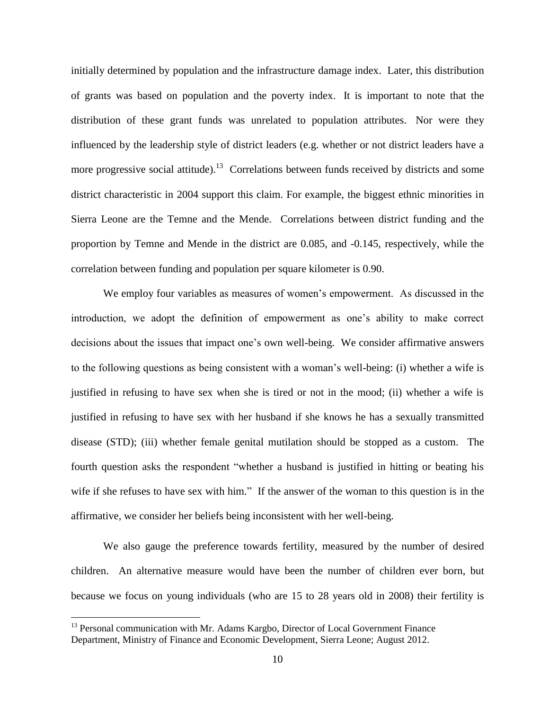initially determined by population and the infrastructure damage index. Later, this distribution of grants was based on population and the poverty index. It is important to note that the distribution of these grant funds was unrelated to population attributes. Nor were they influenced by the leadership style of district leaders (e.g. whether or not district leaders have a more progressive social attitude).<sup>13</sup> Correlations between funds received by districts and some district characteristic in 2004 support this claim. For example, the biggest ethnic minorities in Sierra Leone are the Temne and the Mende. Correlations between district funding and the proportion by Temne and Mende in the district are 0.085, and -0.145, respectively, while the correlation between funding and population per square kilometer is 0.90.

We employ four variables as measures of women's empowerment. As discussed in the introduction, we adopt the definition of empowerment as one's ability to make correct decisions about the issues that impact one's own well-being. We consider affirmative answers to the following questions as being consistent with a woman's well-being: (i) whether a wife is justified in refusing to have sex when she is tired or not in the mood; (ii) whether a wife is justified in refusing to have sex with her husband if she knows he has a sexually transmitted disease (STD); (iii) whether female genital mutilation should be stopped as a custom. The fourth question asks the respondent "whether a husband is justified in hitting or beating his wife if she refuses to have sex with him." If the answer of the woman to this question is in the affirmative, we consider her beliefs being inconsistent with her well-being.

We also gauge the preference towards fertility, measured by the number of desired children. An alternative measure would have been the number of children ever born, but because we focus on young individuals (who are 15 to 28 years old in 2008) their fertility is

<sup>&</sup>lt;sup>13</sup> Personal communication with Mr. Adams Kargbo, Director of Local Government Finance Department, Ministry of Finance and Economic Development, Sierra Leone; August 2012.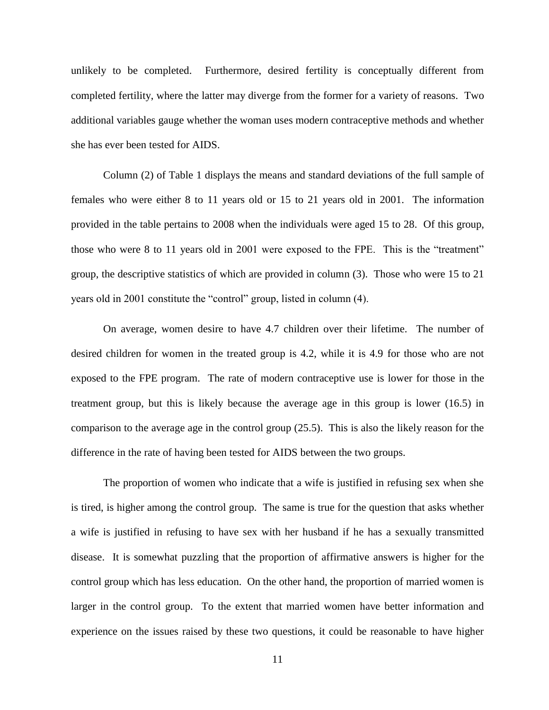unlikely to be completed. Furthermore, desired fertility is conceptually different from completed fertility, where the latter may diverge from the former for a variety of reasons. Two additional variables gauge whether the woman uses modern contraceptive methods and whether she has ever been tested for AIDS.

Column (2) of Table 1 displays the means and standard deviations of the full sample of females who were either 8 to 11 years old or 15 to 21 years old in 2001. The information provided in the table pertains to 2008 when the individuals were aged 15 to 28. Of this group, those who were 8 to 11 years old in 2001 were exposed to the FPE. This is the "treatment" group, the descriptive statistics of which are provided in column (3). Those who were 15 to 21 years old in 2001 constitute the "control" group, listed in column (4).

On average, women desire to have 4.7 children over their lifetime. The number of desired children for women in the treated group is 4.2, while it is 4.9 for those who are not exposed to the FPE program. The rate of modern contraceptive use is lower for those in the treatment group, but this is likely because the average age in this group is lower (16.5) in comparison to the average age in the control group (25.5). This is also the likely reason for the difference in the rate of having been tested for AIDS between the two groups.

The proportion of women who indicate that a wife is justified in refusing sex when she is tired, is higher among the control group. The same is true for the question that asks whether a wife is justified in refusing to have sex with her husband if he has a sexually transmitted disease. It is somewhat puzzling that the proportion of affirmative answers is higher for the control group which has less education. On the other hand, the proportion of married women is larger in the control group. To the extent that married women have better information and experience on the issues raised by these two questions, it could be reasonable to have higher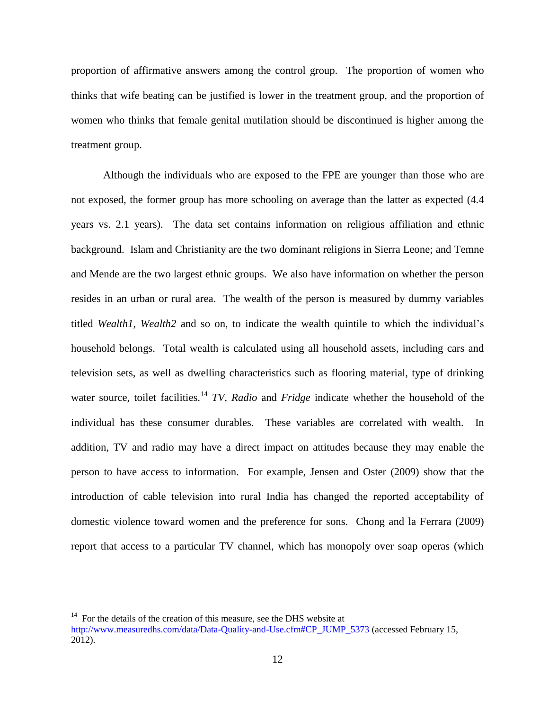proportion of affirmative answers among the control group. The proportion of women who thinks that wife beating can be justified is lower in the treatment group, and the proportion of women who thinks that female genital mutilation should be discontinued is higher among the treatment group.

Although the individuals who are exposed to the FPE are younger than those who are not exposed, the former group has more schooling on average than the latter as expected (4.4 years vs. 2.1 years). The data set contains information on religious affiliation and ethnic background. Islam and Christianity are the two dominant religions in Sierra Leone; and Temne and Mende are the two largest ethnic groups. We also have information on whether the person resides in an urban or rural area. The wealth of the person is measured by dummy variables titled *Wealth1, Wealth2* and so on, to indicate the wealth quintile to which the individual's household belongs. Total wealth is calculated using all household assets, including cars and television sets, as well as dwelling characteristics such as flooring material, type of drinking water source, toilet facilities.<sup>14</sup> *TV, Radio* and *Fridge* indicate whether the household of the individual has these consumer durables. These variables are correlated with wealth. In addition, TV and radio may have a direct impact on attitudes because they may enable the person to have access to information. For example, Jensen and Oster (2009) show that the introduction of cable television into rural India has changed the reported acceptability of domestic violence toward women and the preference for sons. Chong and la Ferrara (2009) report that access to a particular TV channel, which has monopoly over soap operas (which

 $14$  For the details of the creation of this measure, see the DHS website at [http://www.measuredhs.com/data/Data-Quality-and-Use.cfm#CP\\_JUMP\\_5373](http://www.measuredhs.com/data/Data-Quality-and-Use.cfm#CP_JUMP_5373) (accessed February 15, 2012).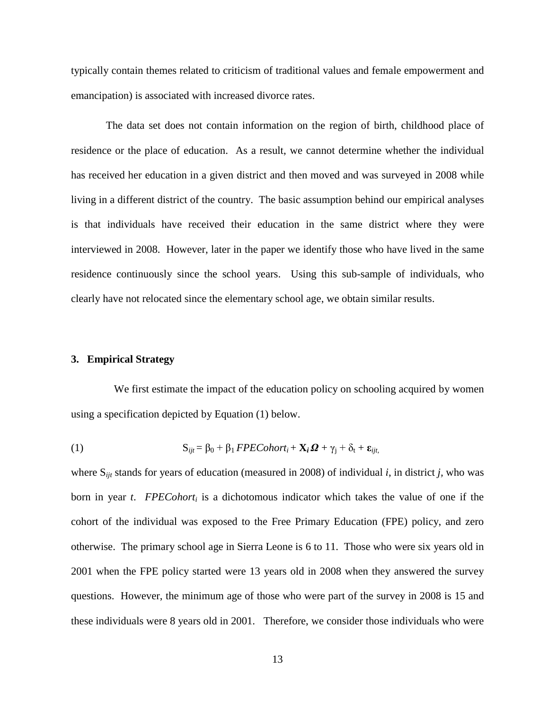typically contain themes related to criticism of traditional values and female empowerment and emancipation) is associated with increased divorce rates.

The data set does not contain information on the region of birth, childhood place of residence or the place of education. As a result, we cannot determine whether the individual has received her education in a given district and then moved and was surveyed in 2008 while living in a different district of the country. The basic assumption behind our empirical analyses is that individuals have received their education in the same district where they were interviewed in 2008. However, later in the paper we identify those who have lived in the same residence continuously since the school years. Using this sub-sample of individuals, who clearly have not relocated since the elementary school age, we obtain similar results.

#### **3. Empirical Strategy**

 We first estimate the impact of the education policy on schooling acquired by women using a specification depicted by Equation (1) below.

(1) 
$$
S_{ijt} = \beta_0 + \beta_1 FPECohort_i + X_i \Omega + \gamma_j + \delta_t + \varepsilon_{ijt},
$$

where S*ijt* stands for years of education (measured in 2008) of individual *i*, in district *j,* who was born in year *t*. *FPECohort<sup>i</sup>* is a dichotomous indicator which takes the value of one if the cohort of the individual was exposed to the Free Primary Education (FPE) policy, and zero otherwise. The primary school age in Sierra Leone is 6 to 11. Those who were six years old in 2001 when the FPE policy started were 13 years old in 2008 when they answered the survey questions. However, the minimum age of those who were part of the survey in 2008 is 15 and these individuals were 8 years old in 2001. Therefore, we consider those individuals who were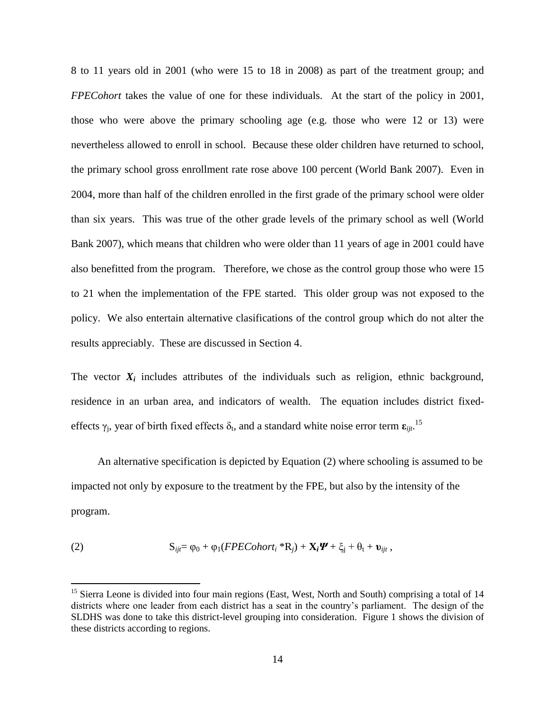8 to 11 years old in 2001 (who were 15 to 18 in 2008) as part of the treatment group; and *FPECohort* takes the value of one for these individuals. At the start of the policy in 2001, those who were above the primary schooling age (e.g. those who were 12 or 13) were nevertheless allowed to enroll in school. Because these older children have returned to school, the primary school gross enrollment rate rose above 100 percent (World Bank 2007). Even in 2004, more than half of the children enrolled in the first grade of the primary school were older than six years. This was true of the other grade levels of the primary school as well (World Bank 2007), which means that children who were older than 11 years of age in 2001 could have also benefitted from the program. Therefore, we chose as the control group those who were 15 to 21 when the implementation of the FPE started. This older group was not exposed to the policy. We also entertain alternative clasifications of the control group which do not alter the results appreciably. These are discussed in Section 4.

The vector  $X_i$  includes attributes of the individuals such as religion, ethnic background, residence in an urban area, and indicators of wealth. The equation includes district fixedeffects  $\gamma_j$ , year of birth fixed effects  $\delta_t$ , and a standard white noise error term  $\epsilon_{ijt}$ .<sup>15</sup>

 An alternative specification is depicted by Equation (2) where schooling is assumed to be impacted not only by exposure to the treatment by the FPE, but also by the intensity of the program.

(2) 
$$
S_{ijt} = \varphi_0 + \varphi_1(FPECohort_i * R_j) + X_i \Psi + \xi_i + \theta_t + \upsilon_{ijt},
$$

<sup>&</sup>lt;sup>15</sup> Sierra Leone is divided into four main regions (East, West, North and South) comprising a total of 14 districts where one leader from each district has a seat in the country's parliament. The design of the SLDHS was done to take this district-level grouping into consideration. Figure 1 shows the division of these districts according to regions.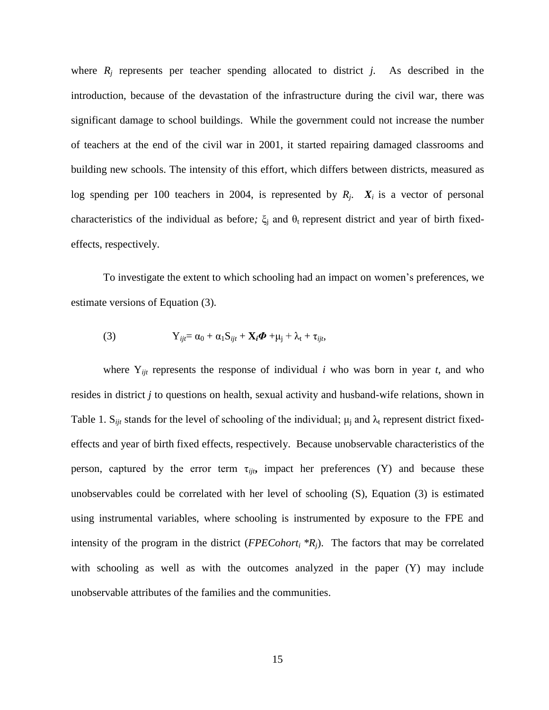where  $R_i$  represents per teacher spending allocated to district *j*. As described in the introduction, because of the devastation of the infrastructure during the civil war, there was significant damage to school buildings. While the government could not increase the number of teachers at the end of the civil war in 2001, it started repairing damaged classrooms and building new schools. The intensity of this effort, which differs between districts, measured as log spending per 100 teachers in 2004, is represented by  $R_j$ .  $X_i$  is a vector of personal characteristics of the individual as before;  $\xi$ <sub>j</sub> and  $\theta$ <sub>t</sub> represent district and year of birth fixedeffects, respectively.

To investigate the extent to which schooling had an impact on women's preferences, we estimate versions of Equation (3).

(3) 
$$
Y_{ijt} = \alpha_0 + \alpha_1 S_{ijt} + X_i \Phi + \mu_j + \lambda_t + \tau_{ijt},
$$

where  $Y_{ijt}$  represents the response of individual *i* who was born in year *t*, and who resides in district *j* to questions on health, sexual activity and husband-wife relations, shown in Table 1. S<sub>*ijt*</sub> stands for the level of schooling of the individual;  $\mu_i$  and  $\lambda_t$  represent district fixedeffects and year of birth fixed effects, respectively. Because unobservable characteristics of the person, captured by the error term  $\tau_{ijt}$ , impact her preferences (Y) and because these unobservables could be correlated with her level of schooling (S), Equation (3) is estimated using instrumental variables, where schooling is instrumented by exposure to the FPE and intensity of the program in the district (*FPECohort<sup>i</sup> \*Rj*). The factors that may be correlated with schooling as well as with the outcomes analyzed in the paper (Y) may include unobservable attributes of the families and the communities.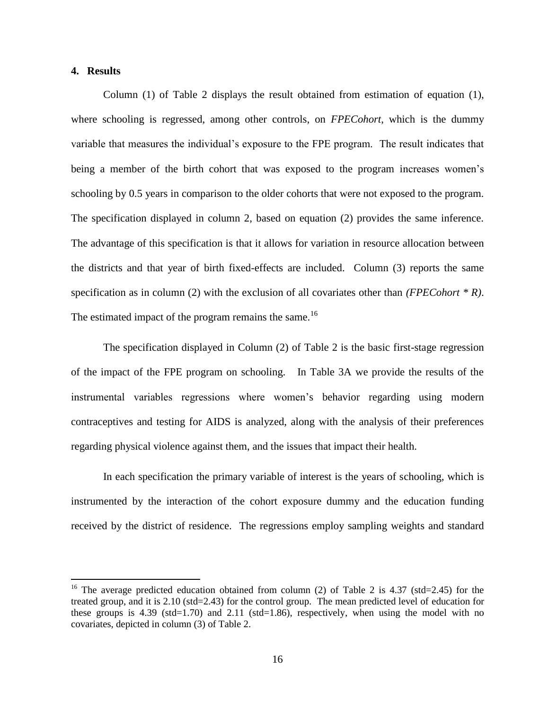# **4. Results**

 $\overline{a}$ 

Column (1) of Table 2 displays the result obtained from estimation of equation (1), where schooling is regressed, among other controls, on *FPECohort*, which is the dummy variable that measures the individual's exposure to the FPE program. The result indicates that being a member of the birth cohort that was exposed to the program increases women's schooling by 0.5 years in comparison to the older cohorts that were not exposed to the program. The specification displayed in column 2, based on equation (2) provides the same inference. The advantage of this specification is that it allows for variation in resource allocation between the districts and that year of birth fixed-effects are included. Column (3) reports the same specification as in column (2) with the exclusion of all covariates other than *(FPECohort \* R)*. The estimated impact of the program remains the same.<sup>16</sup>

The specification displayed in Column (2) of Table 2 is the basic first-stage regression of the impact of the FPE program on schooling. In Table 3A we provide the results of the instrumental variables regressions where women's behavior regarding using modern contraceptives and testing for AIDS is analyzed, along with the analysis of their preferences regarding physical violence against them, and the issues that impact their health.

In each specification the primary variable of interest is the years of schooling, which is instrumented by the interaction of the cohort exposure dummy and the education funding received by the district of residence. The regressions employ sampling weights and standard

<sup>&</sup>lt;sup>16</sup> The average predicted education obtained from column (2) of Table 2 is 4.37 (std=2.45) for the treated group, and it is 2.10 (std=2.43) for the control group. The mean predicted level of education for these groups is 4.39 (std=1.70) and 2.11 (std=1.86), respectively, when using the model with no covariates, depicted in column (3) of Table 2.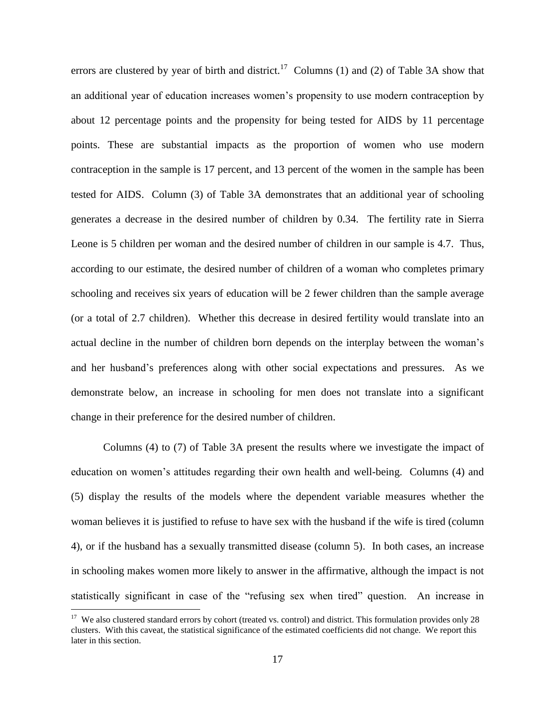errors are clustered by year of birth and district.<sup>17</sup> Columns (1) and (2) of Table 3A show that an additional year of education increases women's propensity to use modern contraception by about 12 percentage points and the propensity for being tested for AIDS by 11 percentage points. These are substantial impacts as the proportion of women who use modern contraception in the sample is 17 percent, and 13 percent of the women in the sample has been tested for AIDS. Column (3) of Table 3A demonstrates that an additional year of schooling generates a decrease in the desired number of children by 0.34. The fertility rate in Sierra Leone is 5 children per woman and the desired number of children in our sample is 4.7. Thus, according to our estimate, the desired number of children of a woman who completes primary schooling and receives six years of education will be 2 fewer children than the sample average (or a total of 2.7 children). Whether this decrease in desired fertility would translate into an actual decline in the number of children born depends on the interplay between the woman's and her husband's preferences along with other social expectations and pressures. As we demonstrate below, an increase in schooling for men does not translate into a significant change in their preference for the desired number of children.

Columns (4) to (7) of Table 3A present the results where we investigate the impact of education on women's attitudes regarding their own health and well-being. Columns (4) and (5) display the results of the models where the dependent variable measures whether the woman believes it is justified to refuse to have sex with the husband if the wife is tired (column 4), or if the husband has a sexually transmitted disease (column 5). In both cases, an increase in schooling makes women more likely to answer in the affirmative, although the impact is not statistically significant in case of the "refusing sex when tired" question. An increase in

<sup>&</sup>lt;sup>17</sup> We also clustered standard errors by cohort (treated vs. control) and district. This formulation provides only 28 clusters. With this caveat, the statistical significance of the estimated coefficients did not change. We report this later in this section.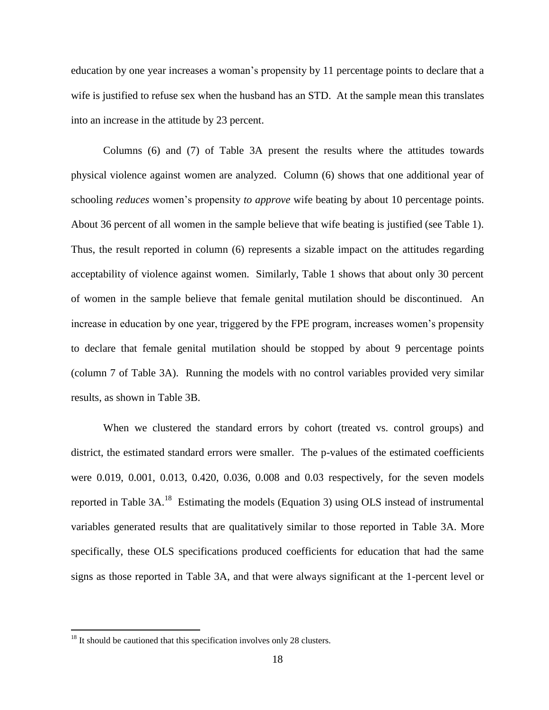education by one year increases a woman's propensity by 11 percentage points to declare that a wife is justified to refuse sex when the husband has an STD. At the sample mean this translates into an increase in the attitude by 23 percent.

Columns (6) and (7) of Table 3A present the results where the attitudes towards physical violence against women are analyzed. Column (6) shows that one additional year of schooling *reduces* women's propensity *to approve* wife beating by about 10 percentage points. About 36 percent of all women in the sample believe that wife beating is justified (see Table 1). Thus, the result reported in column (6) represents a sizable impact on the attitudes regarding acceptability of violence against women. Similarly, Table 1 shows that about only 30 percent of women in the sample believe that female genital mutilation should be discontinued. An increase in education by one year, triggered by the FPE program, increases women's propensity to declare that female genital mutilation should be stopped by about 9 percentage points (column 7 of Table 3A). Running the models with no control variables provided very similar results, as shown in Table 3B.

When we clustered the standard errors by cohort (treated vs. control groups) and district, the estimated standard errors were smaller. The p-values of the estimated coefficients were 0.019, 0.001, 0.013, 0.420, 0.036, 0.008 and 0.03 respectively, for the seven models reported in Table  $3A$ <sup>18</sup> Estimating the models (Equation 3) using OLS instead of instrumental variables generated results that are qualitatively similar to those reported in Table 3A. More specifically, these OLS specifications produced coefficients for education that had the same signs as those reported in Table 3A, and that were always significant at the 1-percent level or

 $18$  It should be cautioned that this specification involves only 28 clusters.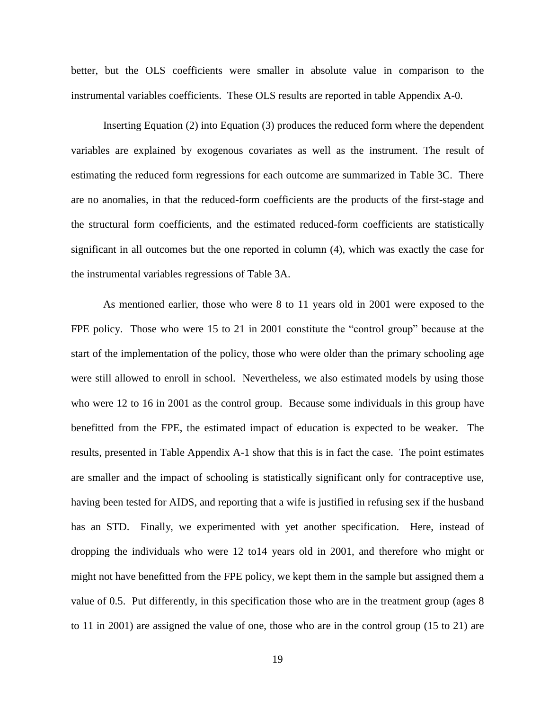better, but the OLS coefficients were smaller in absolute value in comparison to the instrumental variables coefficients. These OLS results are reported in table Appendix A-0.

Inserting Equation (2) into Equation (3) produces the reduced form where the dependent variables are explained by exogenous covariates as well as the instrument. The result of estimating the reduced form regressions for each outcome are summarized in Table 3C. There are no anomalies, in that the reduced-form coefficients are the products of the first-stage and the structural form coefficients, and the estimated reduced-form coefficients are statistically significant in all outcomes but the one reported in column (4), which was exactly the case for the instrumental variables regressions of Table 3A.

As mentioned earlier, those who were 8 to 11 years old in 2001 were exposed to the FPE policy. Those who were 15 to 21 in 2001 constitute the "control group" because at the start of the implementation of the policy, those who were older than the primary schooling age were still allowed to enroll in school. Nevertheless, we also estimated models by using those who were 12 to 16 in 2001 as the control group. Because some individuals in this group have benefitted from the FPE, the estimated impact of education is expected to be weaker. The results, presented in Table Appendix A-1 show that this is in fact the case. The point estimates are smaller and the impact of schooling is statistically significant only for contraceptive use, having been tested for AIDS, and reporting that a wife is justified in refusing sex if the husband has an STD. Finally, we experimented with yet another specification. Here, instead of dropping the individuals who were 12 to14 years old in 2001, and therefore who might or might not have benefitted from the FPE policy, we kept them in the sample but assigned them a value of 0.5. Put differently, in this specification those who are in the treatment group (ages 8 to 11 in 2001) are assigned the value of one, those who are in the control group (15 to 21) are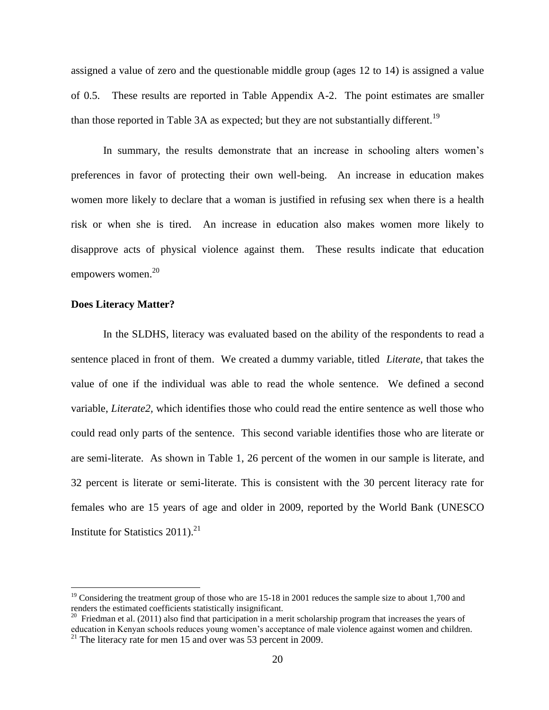assigned a value of zero and the questionable middle group (ages 12 to 14) is assigned a value of 0.5. These results are reported in Table Appendix A-2. The point estimates are smaller than those reported in Table 3A as expected; but they are not substantially different.<sup>19</sup>

In summary, the results demonstrate that an increase in schooling alters women's preferences in favor of protecting their own well-being. An increase in education makes women more likely to declare that a woman is justified in refusing sex when there is a health risk or when she is tired. An increase in education also makes women more likely to disapprove acts of physical violence against them. These results indicate that education empowers women. 20

#### **Does Literacy Matter?**

 $\overline{a}$ 

In the SLDHS, literacy was evaluated based on the ability of the respondents to read a sentence placed in front of them. We created a dummy variable, titled *Literate,* that takes the value of one if the individual was able to read the whole sentence. We defined a second variable, *Literate2,* which identifies those who could read the entire sentence as well those who could read only parts of the sentence. This second variable identifies those who are literate or are semi-literate. As shown in Table 1, 26 percent of the women in our sample is literate, and 32 percent is literate or semi-literate. This is consistent with the 30 percent literacy rate for females who are 15 years of age and older in 2009, reported by the World Bank (UNESCO Institute for Statistics  $2011$ ).<sup>21</sup>

<sup>&</sup>lt;sup>19</sup> Considering the treatment group of those who are 15-18 in 2001 reduces the sample size to about 1,700 and renders the estimated coefficients statistically insignificant.

 $20$  Friedman et al. (2011) also find that participation in a merit scholarship program that increases the years of education in Kenyan schools reduces young women's acceptance of male violence against women and children.

<sup>&</sup>lt;sup>21</sup> The literacy rate for men 15 and over was 53 percent in 2009.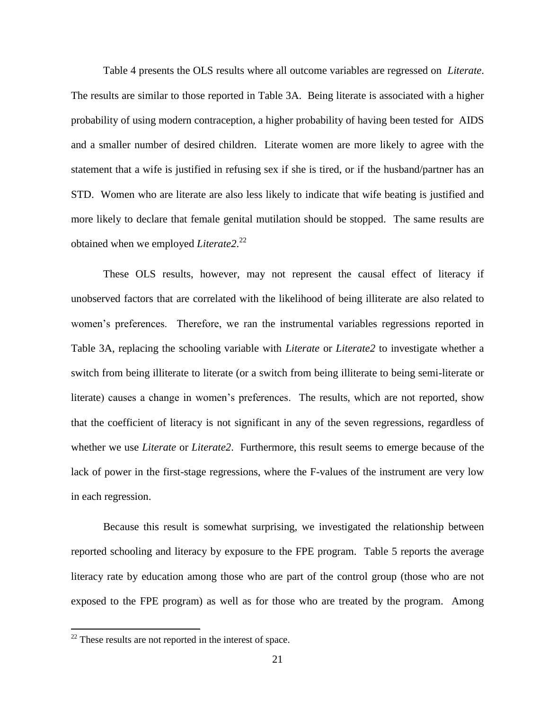Table 4 presents the OLS results where all outcome variables are regressed on *Literate*. The results are similar to those reported in Table 3A. Being literate is associated with a higher probability of using modern contraception, a higher probability of having been tested for AIDS and a smaller number of desired children. Literate women are more likely to agree with the statement that a wife is justified in refusing sex if she is tired, or if the husband/partner has an STD. Women who are literate are also less likely to indicate that wife beating is justified and more likely to declare that female genital mutilation should be stopped. The same results are obtained when we employed *Literate2*. 22

These OLS results, however, may not represent the causal effect of literacy if unobserved factors that are correlated with the likelihood of being illiterate are also related to women's preferences. Therefore, we ran the instrumental variables regressions reported in Table 3A, replacing the schooling variable with *Literate* or *Literate2* to investigate whether a switch from being illiterate to literate (or a switch from being illiterate to being semi-literate or literate) causes a change in women's preferences. The results, which are not reported, show that the coefficient of literacy is not significant in any of the seven regressions, regardless of whether we use *Literate* or *Literate2*. Furthermore, this result seems to emerge because of the lack of power in the first-stage regressions, where the F-values of the instrument are very low in each regression.

Because this result is somewhat surprising, we investigated the relationship between reported schooling and literacy by exposure to the FPE program. Table 5 reports the average literacy rate by education among those who are part of the control group (those who are not exposed to the FPE program) as well as for those who are treated by the program. Among

 $22$  These results are not reported in the interest of space.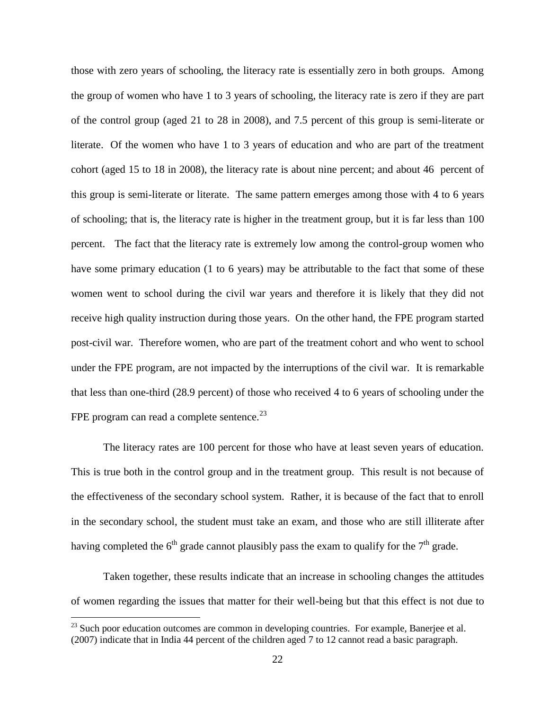those with zero years of schooling, the literacy rate is essentially zero in both groups. Among the group of women who have 1 to 3 years of schooling, the literacy rate is zero if they are part of the control group (aged 21 to 28 in 2008), and 7.5 percent of this group is semi-literate or literate. Of the women who have 1 to 3 years of education and who are part of the treatment cohort (aged 15 to 18 in 2008), the literacy rate is about nine percent; and about 46 percent of this group is semi-literate or literate. The same pattern emerges among those with 4 to 6 years of schooling; that is, the literacy rate is higher in the treatment group, but it is far less than 100 percent. The fact that the literacy rate is extremely low among the control-group women who have some primary education (1 to 6 years) may be attributable to the fact that some of these women went to school during the civil war years and therefore it is likely that they did not receive high quality instruction during those years. On the other hand, the FPE program started post-civil war. Therefore women, who are part of the treatment cohort and who went to school under the FPE program, are not impacted by the interruptions of the civil war. It is remarkable that less than one-third (28.9 percent) of those who received 4 to 6 years of schooling under the FPE program can read a complete sentence. $^{23}$ 

The literacy rates are 100 percent for those who have at least seven years of education. This is true both in the control group and in the treatment group. This result is not because of the effectiveness of the secondary school system. Rather, it is because of the fact that to enroll in the secondary school, the student must take an exam, and those who are still illiterate after having completed the  $6<sup>th</sup>$  grade cannot plausibly pass the exam to qualify for the  $7<sup>th</sup>$  grade.

Taken together, these results indicate that an increase in schooling changes the attitudes of women regarding the issues that matter for their well-being but that this effect is not due to

 $23$  Such poor education outcomes are common in developing countries. For example, Banerjee et al. (2007) indicate that in India 44 percent of the children aged 7 to 12 cannot read a basic paragraph.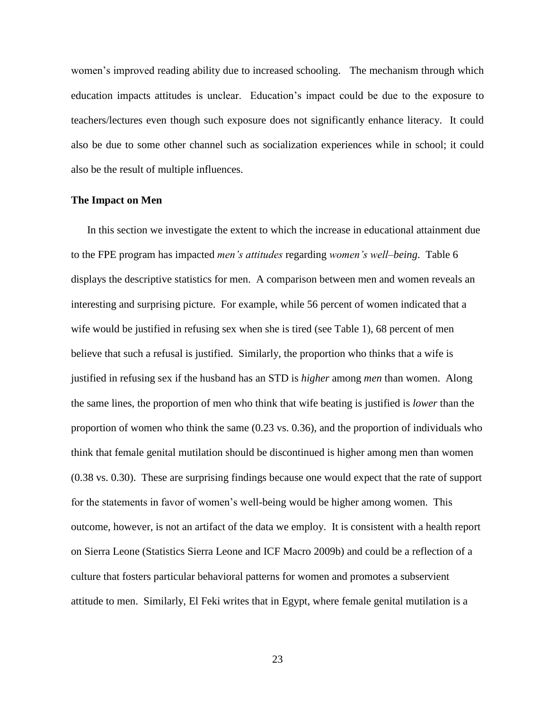women's improved reading ability due to increased schooling. The mechanism through which education impacts attitudes is unclear. Education's impact could be due to the exposure to teachers/lectures even though such exposure does not significantly enhance literacy. It could also be due to some other channel such as socialization experiences while in school; it could also be the result of multiple influences.

#### **The Impact on Men**

In this section we investigate the extent to which the increase in educational attainment due to the FPE program has impacted *men's attitudes* regarding *women's well–being*. Table 6 displays the descriptive statistics for men. A comparison between men and women reveals an interesting and surprising picture. For example, while 56 percent of women indicated that a wife would be justified in refusing sex when she is tired (see Table 1), 68 percent of men believe that such a refusal is justified. Similarly, the proportion who thinks that a wife is justified in refusing sex if the husband has an STD is *higher* among *men* than women. Along the same lines, the proportion of men who think that wife beating is justified is *lower* than the proportion of women who think the same (0.23 vs. 0.36), and the proportion of individuals who think that female genital mutilation should be discontinued is higher among men than women (0.38 vs. 0.30). These are surprising findings because one would expect that the rate of support for the statements in favor of women's well-being would be higher among women. This outcome, however, is not an artifact of the data we employ. It is consistent with a health report on Sierra Leone (Statistics Sierra Leone and ICF Macro 2009b) and could be a reflection of a culture that fosters particular behavioral patterns for women and promotes a subservient attitude to men. Similarly, El Feki writes that in Egypt, where female genital mutilation is a

23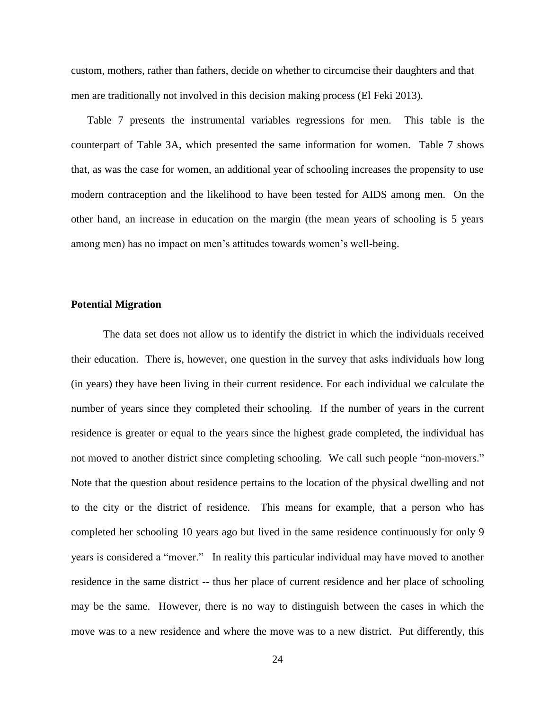custom, mothers, rather than fathers, decide on whether to circumcise their daughters and that men are traditionally not involved in this decision making process (El Feki 2013).

Table 7 presents the instrumental variables regressions for men. This table is the counterpart of Table 3A, which presented the same information for women. Table 7 shows that, as was the case for women, an additional year of schooling increases the propensity to use modern contraception and the likelihood to have been tested for AIDS among men. On the other hand, an increase in education on the margin (the mean years of schooling is 5 years among men) has no impact on men's attitudes towards women's well-being.

#### **Potential Migration**

The data set does not allow us to identify the district in which the individuals received their education. There is, however, one question in the survey that asks individuals how long (in years) they have been living in their current residence. For each individual we calculate the number of years since they completed their schooling. If the number of years in the current residence is greater or equal to the years since the highest grade completed, the individual has not moved to another district since completing schooling. We call such people "non-movers." Note that the question about residence pertains to the location of the physical dwelling and not to the city or the district of residence. This means for example, that a person who has completed her schooling 10 years ago but lived in the same residence continuously for only 9 years is considered a "mover." In reality this particular individual may have moved to another residence in the same district -- thus her place of current residence and her place of schooling may be the same. However, there is no way to distinguish between the cases in which the move was to a new residence and where the move was to a new district. Put differently, this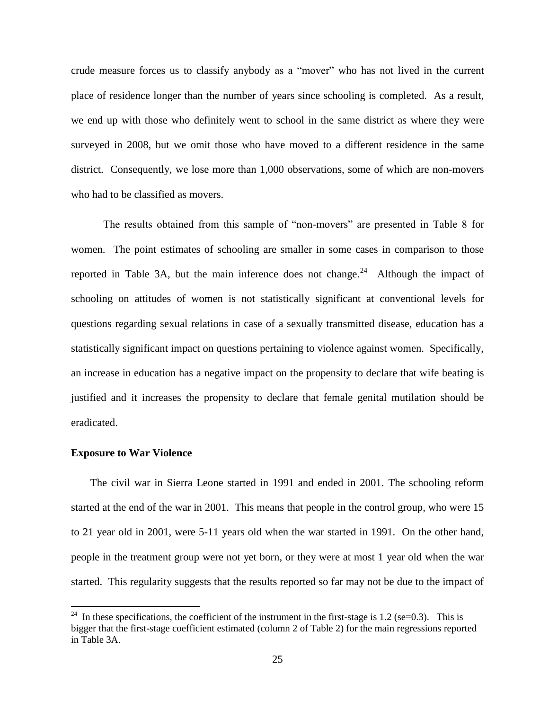crude measure forces us to classify anybody as a "mover" who has not lived in the current place of residence longer than the number of years since schooling is completed. As a result, we end up with those who definitely went to school in the same district as where they were surveyed in 2008, but we omit those who have moved to a different residence in the same district. Consequently, we lose more than 1,000 observations, some of which are non-movers who had to be classified as movers.

The results obtained from this sample of "non-movers" are presented in Table 8 for women. The point estimates of schooling are smaller in some cases in comparison to those reported in Table 3A, but the main inference does not change.<sup>24</sup> Although the impact of schooling on attitudes of women is not statistically significant at conventional levels for questions regarding sexual relations in case of a sexually transmitted disease, education has a statistically significant impact on questions pertaining to violence against women. Specifically, an increase in education has a negative impact on the propensity to declare that wife beating is justified and it increases the propensity to declare that female genital mutilation should be eradicated.

#### **Exposure to War Violence**

 $\overline{a}$ 

The civil war in Sierra Leone started in 1991 and ended in 2001. The schooling reform started at the end of the war in 2001. This means that people in the control group, who were 15 to 21 year old in 2001, were 5-11 years old when the war started in 1991. On the other hand, people in the treatment group were not yet born, or they were at most 1 year old when the war started. This regularity suggests that the results reported so far may not be due to the impact of

<sup>&</sup>lt;sup>24</sup> In these specifications, the coefficient of the instrument in the first-stage is 1.2 (se=0.3). This is bigger that the first-stage coefficient estimated (column 2 of Table 2) for the main regressions reported in Table 3A.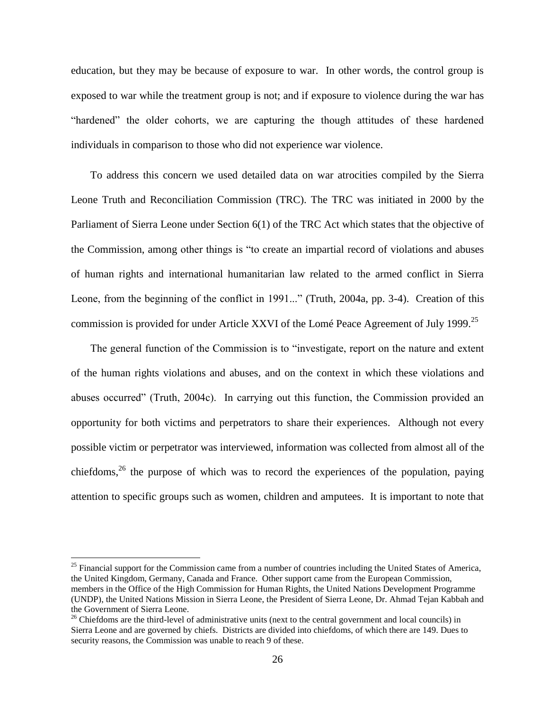education, but they may be because of exposure to war. In other words, the control group is exposed to war while the treatment group is not; and if exposure to violence during the war has "hardened" the older cohorts, we are capturing the though attitudes of these hardened individuals in comparison to those who did not experience war violence.

To address this concern we used detailed data on war atrocities compiled by the Sierra Leone Truth and Reconciliation Commission (TRC). The TRC was initiated in 2000 by the Parliament of Sierra Leone under Section 6(1) of the TRC Act which states that the objective of the Commission, among other things is "to create an impartial record of violations and abuses of human rights and international humanitarian law related to the armed conflict in Sierra Leone, from the beginning of the conflict in 1991..." (Truth, 2004a, pp. 3-4). Creation of this commission is provided for under Article XXVI of the Lomé Peace Agreement of July 1999.<sup>25</sup>

The general function of the Commission is to "investigate, report on the nature and extent of the human rights violations and abuses, and on the context in which these violations and abuses occurred" (Truth, 2004c). In carrying out this function, the Commission provided an opportunity for both victims and perpetrators to share their experiences. Although not every possible victim or perpetrator was interviewed, information was collected from almost all of the chiefdoms,  $26$  the purpose of which was to record the experiences of the population, paying attention to specific groups such as women, children and amputees. It is important to note that

 $25$  Financial support for the Commission came from a number of countries including the United States of America, the United Kingdom, Germany, Canada and France. Other support came from the European Commission, members in the Office of the High Commission for Human Rights, the United Nations Development Programme (UNDP), the United Nations Mission in Sierra Leone, the President of Sierra Leone, Dr. Ahmad Tejan Kabbah and the Government of Sierra Leone.

 $26$  Chiefdoms are the third-level of administrative units (next to the central government and local councils) in Sierra Leone and are governed by chiefs. Districts are divided into chiefdoms, of which there are 149. Dues to security reasons, the Commission was unable to reach 9 of these.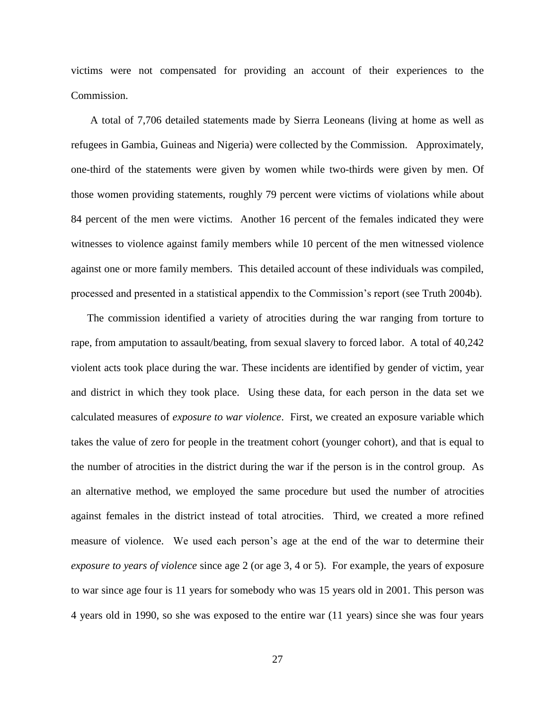victims were not compensated for providing an account of their experiences to the Commission.

A total of 7,706 detailed statements made by Sierra Leoneans (living at home as well as refugees in Gambia, Guineas and Nigeria) were collected by the Commission. Approximately, one-third of the statements were given by women while two-thirds were given by men. Of those women providing statements, roughly 79 percent were victims of violations while about 84 percent of the men were victims. Another 16 percent of the females indicated they were witnesses to violence against family members while 10 percent of the men witnessed violence against one or more family members. This detailed account of these individuals was compiled, processed and presented in a statistical appendix to the Commission's report (see Truth 2004b).

The commission identified a variety of atrocities during the war ranging from torture to rape, from amputation to assault/beating, from sexual slavery to forced labor. A total of 40,242 violent acts took place during the war. These incidents are identified by gender of victim, year and district in which they took place. Using these data, for each person in the data set we calculated measures of *exposure to war violence*. First, we created an exposure variable which takes the value of zero for people in the treatment cohort (younger cohort), and that is equal to the number of atrocities in the district during the war if the person is in the control group. As an alternative method, we employed the same procedure but used the number of atrocities against females in the district instead of total atrocities. Third, we created a more refined measure of violence. We used each person's age at the end of the war to determine their *exposure to years of violence* since age 2 (or age 3, 4 or 5). For example, the years of exposure to war since age four is 11 years for somebody who was 15 years old in 2001. This person was 4 years old in 1990, so she was exposed to the entire war (11 years) since she was four years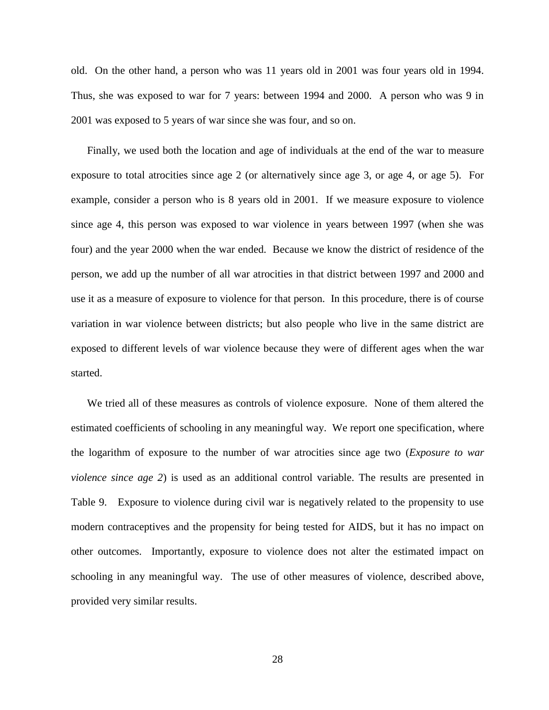old. On the other hand, a person who was 11 years old in 2001 was four years old in 1994. Thus, she was exposed to war for 7 years: between 1994 and 2000. A person who was 9 in 2001 was exposed to 5 years of war since she was four, and so on.

Finally, we used both the location and age of individuals at the end of the war to measure exposure to total atrocities since age 2 (or alternatively since age 3, or age 4, or age 5). For example, consider a person who is 8 years old in 2001. If we measure exposure to violence since age 4, this person was exposed to war violence in years between 1997 (when she was four) and the year 2000 when the war ended. Because we know the district of residence of the person, we add up the number of all war atrocities in that district between 1997 and 2000 and use it as a measure of exposure to violence for that person. In this procedure, there is of course variation in war violence between districts; but also people who live in the same district are exposed to different levels of war violence because they were of different ages when the war started.

We tried all of these measures as controls of violence exposure. None of them altered the estimated coefficients of schooling in any meaningful way. We report one specification, where the logarithm of exposure to the number of war atrocities since age two (*Exposure to war violence since age 2*) is used as an additional control variable. The results are presented in Table 9. Exposure to violence during civil war is negatively related to the propensity to use modern contraceptives and the propensity for being tested for AIDS, but it has no impact on other outcomes. Importantly, exposure to violence does not alter the estimated impact on schooling in any meaningful way. The use of other measures of violence, described above, provided very similar results.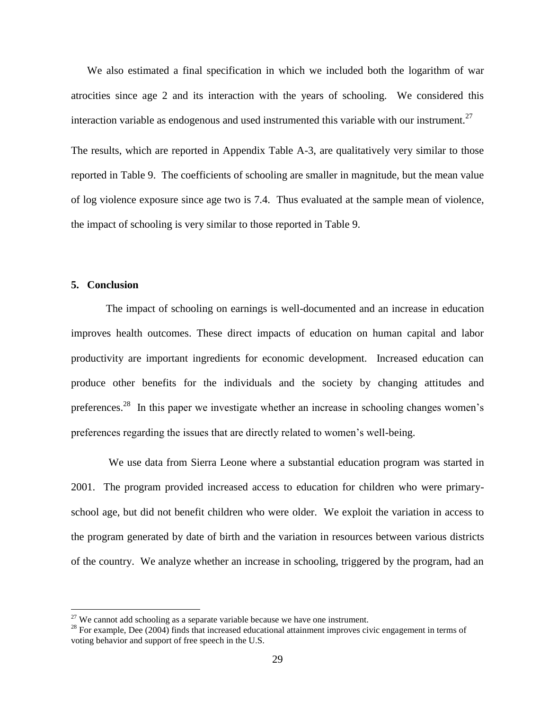We also estimated a final specification in which we included both the logarithm of war atrocities since age 2 and its interaction with the years of schooling. We considered this interaction variable as endogenous and used instrumented this variable with our instrument.<sup>27</sup>

The results, which are reported in Appendix Table A-3, are qualitatively very similar to those reported in Table 9. The coefficients of schooling are smaller in magnitude, but the mean value of log violence exposure since age two is 7.4. Thus evaluated at the sample mean of violence, the impact of schooling is very similar to those reported in Table 9.

#### **5. Conclusion**

 $\overline{a}$ 

The impact of schooling on earnings is well-documented and an increase in education improves health outcomes. These direct impacts of education on human capital and labor productivity are important ingredients for economic development. Increased education can produce other benefits for the individuals and the society by changing attitudes and preferences.<sup>28</sup> In this paper we investigate whether an increase in schooling changes women's preferences regarding the issues that are directly related to women's well-being.

 We use data from Sierra Leone where a substantial education program was started in 2001. The program provided increased access to education for children who were primaryschool age, but did not benefit children who were older. We exploit the variation in access to the program generated by date of birth and the variation in resources between various districts of the country. We analyze whether an increase in schooling, triggered by the program, had an

 $27$  We cannot add schooling as a separate variable because we have one instrument.

 $^{28}$  For example, Dee (2004) finds that increased educational attainment improves civic engagement in terms of voting behavior and support of free speech in the U.S.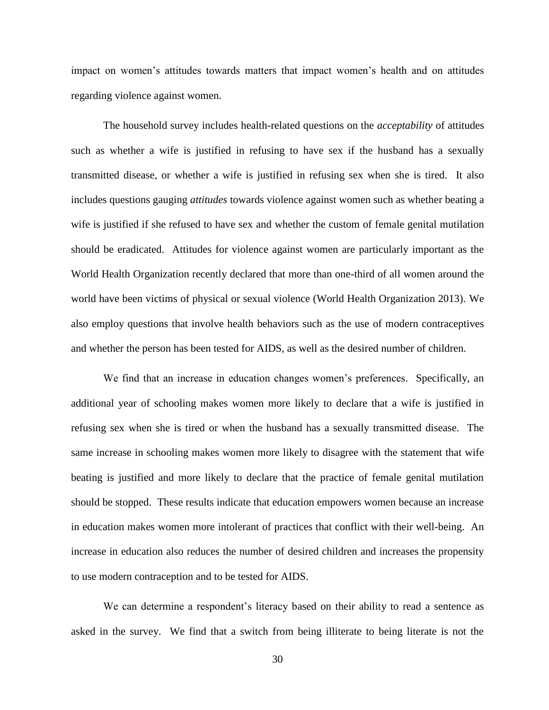impact on women's attitudes towards matters that impact women's health and on attitudes regarding violence against women.

The household survey includes health-related questions on the *acceptability* of attitudes such as whether a wife is justified in refusing to have sex if the husband has a sexually transmitted disease, or whether a wife is justified in refusing sex when she is tired. It also includes questions gauging *attitudes* towards violence against women such as whether beating a wife is justified if she refused to have sex and whether the custom of female genital mutilation should be eradicated. Attitudes for violence against women are particularly important as the World Health Organization recently declared that more than one-third of all women around the world have been victims of physical or sexual violence (World Health Organization 2013). We also employ questions that involve health behaviors such as the use of modern contraceptives and whether the person has been tested for AIDS, as well as the desired number of children.

We find that an increase in education changes women's preferences. Specifically, an additional year of schooling makes women more likely to declare that a wife is justified in refusing sex when she is tired or when the husband has a sexually transmitted disease. The same increase in schooling makes women more likely to disagree with the statement that wife beating is justified and more likely to declare that the practice of female genital mutilation should be stopped. These results indicate that education empowers women because an increase in education makes women more intolerant of practices that conflict with their well-being. An increase in education also reduces the number of desired children and increases the propensity to use modern contraception and to be tested for AIDS.

We can determine a respondent's literacy based on their ability to read a sentence as asked in the survey. We find that a switch from being illiterate to being literate is not the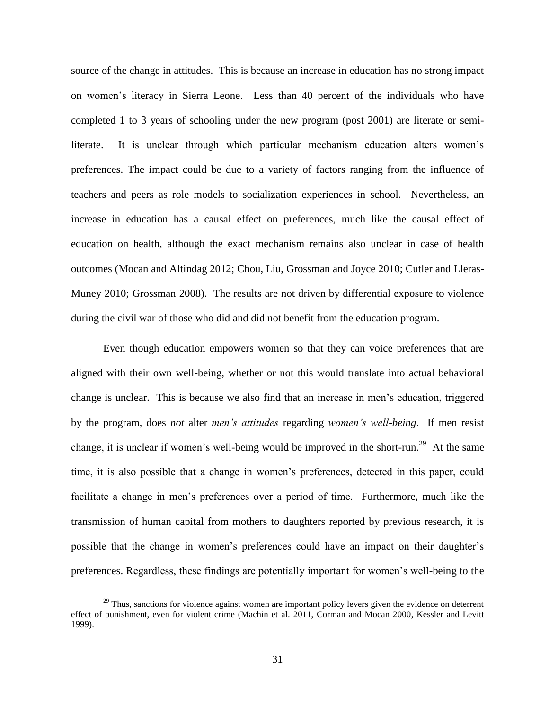source of the change in attitudes. This is because an increase in education has no strong impact on women's literacy in Sierra Leone. Less than 40 percent of the individuals who have completed 1 to 3 years of schooling under the new program (post 2001) are literate or semiliterate. It is unclear through which particular mechanism education alters women's preferences. The impact could be due to a variety of factors ranging from the influence of teachers and peers as role models to socialization experiences in school. Nevertheless, an increase in education has a causal effect on preferences, much like the causal effect of education on health, although the exact mechanism remains also unclear in case of health outcomes (Mocan and Altindag 2012; Chou, Liu, Grossman and Joyce 2010; Cutler and Lleras-Muney 2010; Grossman 2008). The results are not driven by differential exposure to violence during the civil war of those who did and did not benefit from the education program.

Even though education empowers women so that they can voice preferences that are aligned with their own well-being, whether or not this would translate into actual behavioral change is unclear. This is because we also find that an increase in men's education, triggered by the program, does *not* alter *men's attitudes* regarding *women's well-being*. If men resist change, it is unclear if women's well-being would be improved in the short-run.<sup>29</sup> At the same time, it is also possible that a change in women's preferences, detected in this paper, could facilitate a change in men's preferences over a period of time. Furthermore, much like the transmission of human capital from mothers to daughters reported by previous research, it is possible that the change in women's preferences could have an impact on their daughter's preferences. Regardless, these findings are potentially important for women's well-being to the

<sup>&</sup>lt;sup>29</sup> Thus, sanctions for violence against women are important policy levers given the evidence on deterrent effect of punishment, even for violent crime (Machin et al. 2011, Corman and Mocan 2000, Kessler and Levitt 1999).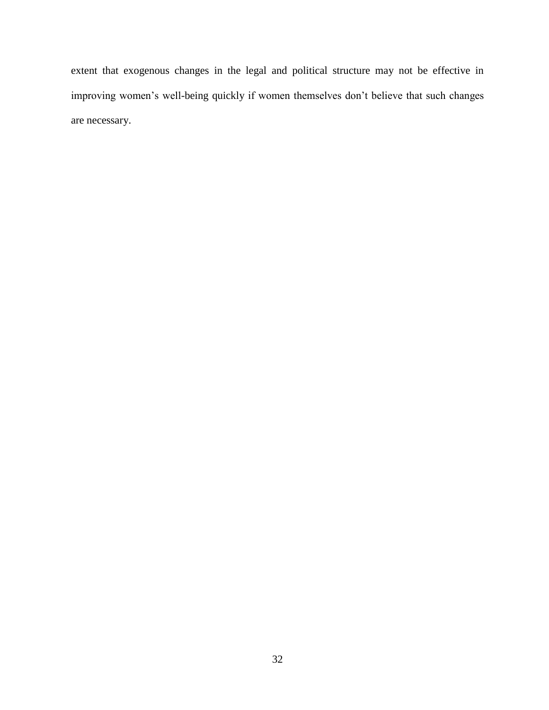extent that exogenous changes in the legal and political structure may not be effective in improving women's well-being quickly if women themselves don't believe that such changes are necessary.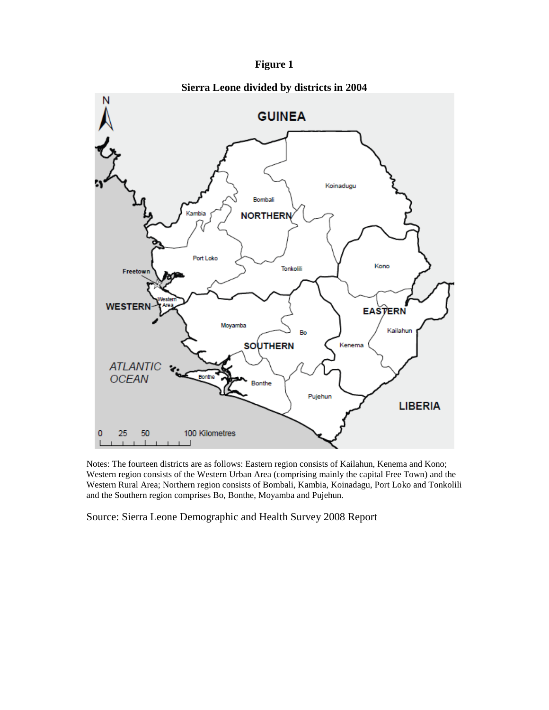



Notes: The fourteen districts are as follows: Eastern region consists of Kailahun, Kenema and Kono; Western region consists of the Western Urban Area (comprising mainly the capital Free Town) and the Western Rural Area; Northern region consists of Bombali, Kambia, Koinadagu, Port Loko and Tonkolili and the Southern region comprises Bo, Bonthe, Moyamba and Pujehun.

Source: Sierra Leone Demographic and Health Survey 2008 Report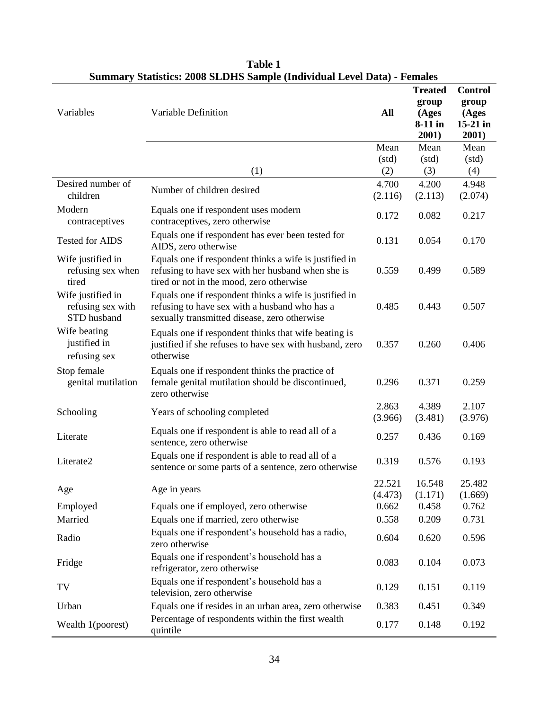|                                                              |                                                                                                                                                         |            | <b>Treated</b><br>group | <b>Control</b><br>group |
|--------------------------------------------------------------|---------------------------------------------------------------------------------------------------------------------------------------------------------|------------|-------------------------|-------------------------|
| Variables                                                    | Variable Definition                                                                                                                                     | <b>All</b> | (Ages<br>8-11 in        | (Ages<br>$15-21$ in     |
|                                                              |                                                                                                                                                         |            | 2001)                   | 2001)                   |
|                                                              |                                                                                                                                                         | Mean       | Mean                    | Mean                    |
|                                                              |                                                                                                                                                         | (std)      | (std)                   | (std)                   |
|                                                              | (1)                                                                                                                                                     | (2)        | (3)                     | (4)                     |
| Desired number of                                            | Number of children desired                                                                                                                              | 4.700      | 4.200                   | 4.948                   |
| children                                                     |                                                                                                                                                         | (2.116)    | (2.113)                 | (2.074)                 |
| Modern<br>contraceptives                                     | Equals one if respondent uses modern<br>contraceptives, zero otherwise                                                                                  | 0.172      | 0.082                   | 0.217                   |
| <b>Tested for AIDS</b>                                       | Equals one if respondent has ever been tested for<br>AIDS, zero otherwise                                                                               | 0.131      | 0.054                   | 0.170                   |
| Wife justified in<br>refusing sex when<br>tired              | Equals one if respondent thinks a wife is justified in<br>refusing to have sex with her husband when she is<br>tired or not in the mood, zero otherwise | 0.559      | 0.499                   | 0.589                   |
| Wife justified in<br>refusing sex with<br><b>STD</b> husband | Equals one if respondent thinks a wife is justified in<br>refusing to have sex with a husband who has a<br>sexually transmitted disease, zero otherwise | 0.485      | 0.443                   | 0.507                   |
| Wife beating<br>justified in<br>refusing sex                 | Equals one if respondent thinks that wife beating is<br>justified if she refuses to have sex with husband, zero<br>otherwise                            | 0.357      | 0.260                   | 0.406                   |
| Stop female<br>genital mutilation                            | Equals one if respondent thinks the practice of<br>female genital mutilation should be discontinued,<br>zero otherwise                                  | 0.296      | 0.371                   | 0.259                   |
| Schooling                                                    | Years of schooling completed                                                                                                                            | 2.863      | 4.389                   | 2.107                   |
|                                                              |                                                                                                                                                         | (3.966)    | (3.481)                 | (3.976)                 |
| Literate                                                     | Equals one if respondent is able to read all of a<br>sentence, zero otherwise                                                                           | 0.257      | 0.436                   | 0.169                   |
| Literate2                                                    | Equals one if respondent is able to read all of a<br>sentence or some parts of a sentence, zero otherwise                                               | 0.319      | 0.576                   | 0.193                   |
|                                                              |                                                                                                                                                         | 22.521     | 16.548                  | 25.482                  |
| Age                                                          | Age in years                                                                                                                                            | (4.473)    | (1.171)                 | (1.669)                 |
| Employed                                                     | Equals one if employed, zero otherwise                                                                                                                  | 0.662      | 0.458                   | 0.762                   |
| Married                                                      | Equals one if married, zero otherwise                                                                                                                   | 0.558      | 0.209                   | 0.731                   |
| Radio                                                        | Equals one if respondent's household has a radio,<br>zero otherwise                                                                                     | 0.604      | 0.620                   | 0.596                   |
| Fridge                                                       | Equals one if respondent's household has a<br>refrigerator, zero otherwise                                                                              | 0.083      | 0.104                   | 0.073                   |
| TV                                                           | Equals one if respondent's household has a<br>television, zero otherwise                                                                                | 0.129      | 0.151                   | 0.119                   |
| Urban                                                        | Equals one if resides in an urban area, zero otherwise                                                                                                  | 0.383      | 0.451                   | 0.349                   |
| Wealth 1(poorest)                                            | Percentage of respondents within the first wealth<br>quintile                                                                                           | 0.177      | 0.148                   | 0.192                   |

**Table 1 Summary Statistics: 2008 SLDHS Sample (Individual Level Data) - Females**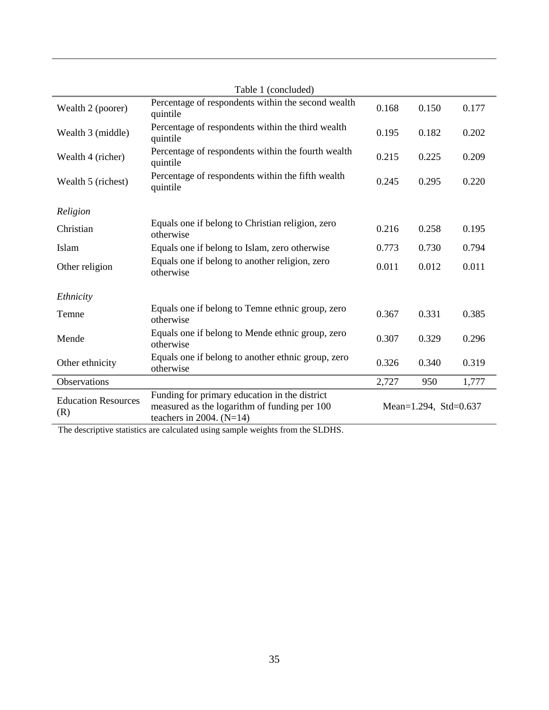|                                   | Table 1 (concluded)                                                                                                         |       |                       |       |
|-----------------------------------|-----------------------------------------------------------------------------------------------------------------------------|-------|-----------------------|-------|
| Wealth 2 (poorer)                 | Percentage of respondents within the second wealth<br>quintile                                                              | 0.168 | 0.150                 | 0.177 |
| Wealth 3 (middle)                 | Percentage of respondents within the third wealth<br>quintile                                                               | 0.195 | 0.182                 | 0.202 |
| Wealth 4 (richer)                 | Percentage of respondents within the fourth wealth<br>quintile                                                              | 0.215 | 0.225                 | 0.209 |
| Wealth 5 (richest)                | Percentage of respondents within the fifth wealth<br>quintile                                                               | 0.245 | 0.295                 | 0.220 |
| Religion                          |                                                                                                                             |       |                       |       |
| Christian                         | Equals one if belong to Christian religion, zero<br>otherwise                                                               | 0.216 | 0.258                 | 0.195 |
| Islam                             | Equals one if belong to Islam, zero otherwise                                                                               | 0.773 | 0.730                 | 0.794 |
| Other religion                    | Equals one if belong to another religion, zero<br>otherwise                                                                 | 0.011 | 0.012                 | 0.011 |
| Ethnicity                         |                                                                                                                             |       |                       |       |
| Temne                             | Equals one if belong to Temne ethnic group, zero<br>otherwise                                                               | 0.367 | 0.331                 | 0.385 |
| Mende                             | Equals one if belong to Mende ethnic group, zero<br>otherwise                                                               | 0.307 | 0.329                 | 0.296 |
| Other ethnicity                   | Equals one if belong to another ethnic group, zero<br>otherwise                                                             | 0.326 | 0.340                 | 0.319 |
| Observations                      |                                                                                                                             | 2,727 | 950                   | 1,777 |
| <b>Education Resources</b><br>(R) | Funding for primary education in the district<br>measured as the logarithm of funding per 100<br>teachers in 2004. $(N=14)$ |       | Mean=1.294, Std=0.637 |       |

The descriptive statistics are calculated using sample weights from the SLDHS.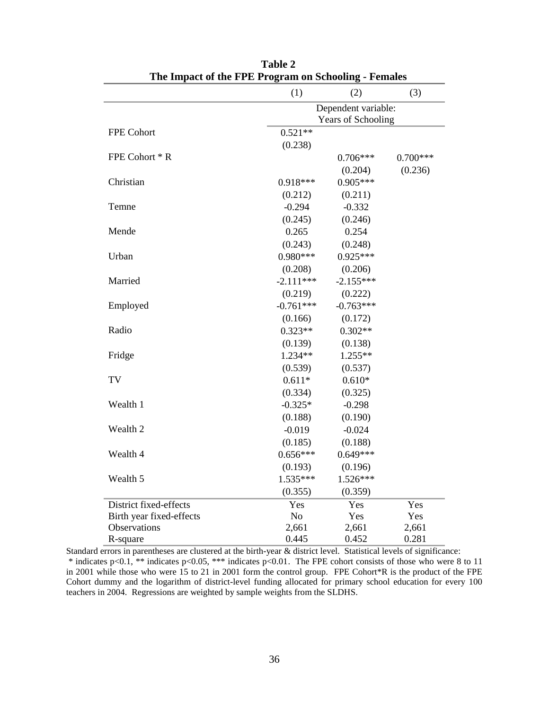|                          | (1)                 | (2)                | (3)        |  |  |
|--------------------------|---------------------|--------------------|------------|--|--|
|                          | Dependent variable: |                    |            |  |  |
|                          |                     | Years of Schooling |            |  |  |
| FPE Cohort               | $0.521**$           |                    |            |  |  |
|                          | (0.238)             |                    |            |  |  |
| FPE Cohort * R           |                     | $0.706***$         | $0.700***$ |  |  |
|                          |                     | (0.204)            | (0.236)    |  |  |
| Christian                | $0.918***$          | $0.905***$         |            |  |  |
|                          | (0.212)             | (0.211)            |            |  |  |
| Temne                    | $-0.294$            | $-0.332$           |            |  |  |
|                          | (0.245)             | (0.246)            |            |  |  |
| Mende                    | 0.265               | 0.254              |            |  |  |
|                          | (0.243)             | (0.248)            |            |  |  |
| Urban                    | $0.980***$          | $0.925***$         |            |  |  |
|                          | (0.208)             | (0.206)            |            |  |  |
| Married                  | $-2.111***$         | $-2.155***$        |            |  |  |
|                          | (0.219)             | (0.222)            |            |  |  |
| Employed                 | $-0.761***$         | $-0.763***$        |            |  |  |
|                          | (0.166)             | (0.172)            |            |  |  |
| Radio                    | $0.323**$           | $0.302**$          |            |  |  |
|                          | (0.139)             | (0.138)            |            |  |  |
| Fridge                   | $1.234**$           | $1.255**$          |            |  |  |
|                          | (0.539)             | (0.537)            |            |  |  |
| TV                       | $0.611*$            | $0.610*$           |            |  |  |
|                          | (0.334)             | (0.325)            |            |  |  |
| Wealth 1                 | $-0.325*$           | $-0.298$           |            |  |  |
|                          | (0.188)             | (0.190)            |            |  |  |
| Wealth 2                 | $-0.019$            | $-0.024$           |            |  |  |
|                          | (0.185)             | (0.188)            |            |  |  |
| Wealth 4                 | $0.656***$          | $0.649***$         |            |  |  |
|                          | (0.193)             | (0.196)            |            |  |  |
| Wealth 5                 | $1.535***$          | $1.526***$         |            |  |  |
|                          | (0.355)             | (0.359)            |            |  |  |
| District fixed-effects   | Yes                 | Yes                | Yes        |  |  |
| Birth year fixed-effects | N <sub>o</sub>      | Yes                | Yes        |  |  |
| Observations             | 2,661               | 2,661              | 2,661      |  |  |
| R-square                 | 0.445               | 0.452              | 0.281      |  |  |

**Table 2 The Impact of the FPE Program on Schooling - Females**

Standard errors in parentheses are clustered at the birth-year & district level. Statistical levels of significance: \* indicates p<0.1, \*\* indicates p<0.05, \*\*\* indicates p<0.01. The FPE cohort consists of those who were 8 to 11 in 2001 while those who were 15 to 21 in 2001 form the control group. FPE Cohort\*R is the product of the FPE Cohort dummy and the logarithm of district-level funding allocated for primary school education for every 100 teachers in 2004. Regressions are weighted by sample weights from the SLDHS.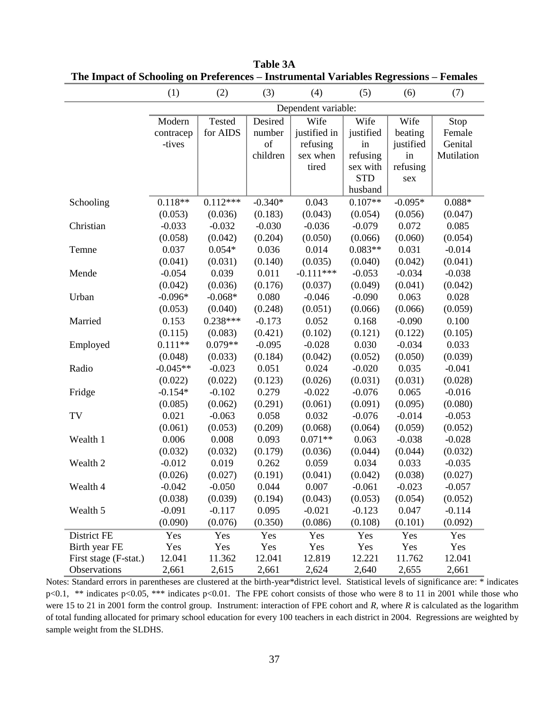|                       | (1)        | (2)           | (3)       | (4)                 | (5)        | (6)       | (7)        |
|-----------------------|------------|---------------|-----------|---------------------|------------|-----------|------------|
|                       |            |               |           | Dependent variable: |            |           |            |
|                       | Modern     | <b>Tested</b> | Desired   | Wife                | Wife       | Wife      | Stop       |
|                       | contracep  | for AIDS      | number    | justified in        | justified  | beating   | Female     |
|                       | -tives     |               | of        | refusing            | in         | justified | Genital    |
|                       |            |               | children  | sex when            | refusing   | in        | Mutilation |
|                       |            |               |           | tired               | sex with   | refusing  |            |
|                       |            |               |           |                     | <b>STD</b> | sex       |            |
|                       |            |               |           |                     | husband    |           |            |
| Schooling             | $0.118**$  | $0.112***$    | $-0.340*$ | 0.043               | $0.107**$  | $-0.095*$ | $0.088*$   |
|                       | (0.053)    | (0.036)       | (0.183)   | (0.043)             | (0.054)    | (0.056)   | (0.047)    |
| Christian             | $-0.033$   | $-0.032$      | $-0.030$  | $-0.036$            | $-0.079$   | 0.072     | 0.085      |
|                       | (0.058)    | (0.042)       | (0.204)   | (0.050)             | (0.066)    | (0.060)   | (0.054)    |
| Temne                 | 0.037      | $0.054*$      | 0.036     | 0.014               | $0.083**$  | 0.031     | $-0.014$   |
|                       | (0.041)    | (0.031)       | (0.140)   | (0.035)             | (0.040)    | (0.042)   | (0.041)    |
| Mende                 | $-0.054$   | 0.039         | 0.011     | $-0.111***$         | $-0.053$   | $-0.034$  | $-0.038$   |
|                       | (0.042)    | (0.036)       | (0.176)   | (0.037)             | (0.049)    | (0.041)   | (0.042)    |
| Urban                 | $-0.096*$  | $-0.068*$     | 0.080     | $-0.046$            | $-0.090$   | 0.063     | 0.028      |
|                       | (0.053)    | (0.040)       | (0.248)   | (0.051)             | (0.066)    | (0.066)   | (0.059)    |
| Married               | 0.153      | $0.238***$    | $-0.173$  | 0.052               | 0.168      | $-0.090$  | 0.100      |
|                       | (0.115)    | (0.083)       | (0.421)   | (0.102)             | (0.121)    | (0.122)   | (0.105)    |
| Employed              | $0.111**$  | $0.079**$     | $-0.095$  | $-0.028$            | 0.030      | $-0.034$  | 0.033      |
|                       | (0.048)    | (0.033)       | (0.184)   | (0.042)             | (0.052)    | (0.050)   | (0.039)    |
| Radio                 | $-0.045**$ | $-0.023$      | 0.051     | 0.024               | $-0.020$   | 0.035     | $-0.041$   |
|                       | (0.022)    | (0.022)       | (0.123)   | (0.026)             | (0.031)    | (0.031)   | (0.028)    |
| Fridge                | $-0.154*$  | $-0.102$      | 0.279     | $-0.022$            | $-0.076$   | 0.065     | $-0.016$   |
|                       | (0.085)    | (0.062)       | (0.291)   | (0.061)             | (0.091)    | (0.095)   | (0.080)    |
| TV                    | 0.021      | $-0.063$      | 0.058     | 0.032               | $-0.076$   | $-0.014$  | $-0.053$   |
|                       | (0.061)    | (0.053)       | (0.209)   | (0.068)             | (0.064)    | (0.059)   | (0.052)    |
| Wealth 1              | 0.006      | 0.008         | 0.093     | $0.071**$           | 0.063      | $-0.038$  | $-0.028$   |
|                       | (0.032)    | (0.032)       | (0.179)   | (0.036)             | (0.044)    | (0.044)   | (0.032)    |
| Wealth 2              | $-0.012$   | 0.019         | 0.262     | 0.059               | 0.034      | 0.033     | $-0.035$   |
|                       | (0.026)    | (0.027)       | (0.191)   | (0.041)             | (0.042)    | (0.038)   | (0.027)    |
| Wealth 4              | $-0.042$   | $-0.050$      | 0.044     | 0.007               | $-0.061$   | $-0.023$  | $-0.057$   |
|                       | (0.038)    | (0.039)       | (0.194)   | (0.043)             | (0.053)    | (0.054)   | (0.052)    |
| Wealth 5              | $-0.091$   | $-0.117$      | 0.095     | $-0.021$            | $-0.123$   | 0.047     | $-0.114$   |
|                       | (0.090)    | (0.076)       | (0.350)   | (0.086)             | (0.108)    | (0.101)   | (0.092)    |
| District FE           | Yes        | Yes           | Yes       | Yes                 | Yes        | Yes       | Yes        |
| Birth year FE         | Yes        | Yes           | Yes       | Yes                 | Yes        | Yes       | Yes        |
| First stage (F-stat.) | 12.041     | 11.362        | 12.041    | 12.819              | 12.221     | 11.762    | 12.041     |
| Observations          | 2,661      | 2,615         | 2,661     | 2,624               | 2,640      | 2,655     | 2,661      |

**Table 3A The Impact of Schooling on Preferences – Instrumental Variables Regressions – Females**

Notes: Standard errors in parentheses are clustered at the birth-year\*district level. Statistical levels of significance are: \* indicates p<0.1, \*\* indicates p<0.05, \*\*\* indicates p<0.01. The FPE cohort consists of those who were 8 to 11 in 2001 while those who were 15 to 21 in 2001 form the control group. Instrument: interaction of FPE cohort and *R*, where *R* is calculated as the logarithm of total funding allocated for primary school education for every 100 teachers in each district in 2004. Regressions are weighted by sample weight from the SLDHS.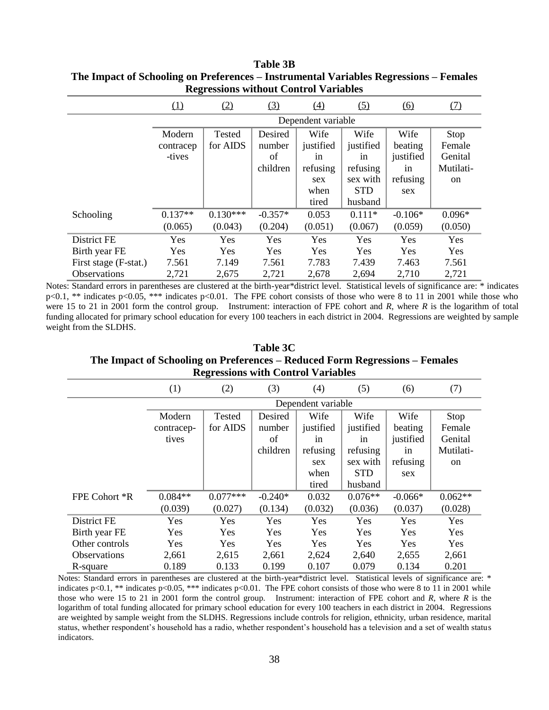|                       |           | Regressions without Control Variables |           |                    |            |                   |            |
|-----------------------|-----------|---------------------------------------|-----------|--------------------|------------|-------------------|------------|
|                       | (1)       | (2)                                   | (3)       | $\left(4\right)$   | (5)        | $\underline{(6)}$ | <u>(7)</u> |
|                       |           |                                       |           | Dependent variable |            |                   |            |
|                       | Modern    | Tested                                | Desired   | Wife               | Wife       | Wife              | Stop       |
|                       | contracep | for AIDS                              | number    | justified          | justified  | beating           | Female     |
|                       | -tives    |                                       | of        | 1n                 | in         | justified         | Genital    |
|                       |           |                                       | children  | refusing           | refusing   | in                | Mutilati-  |
|                       |           |                                       |           | sex                | sex with   | refusing          | on         |
|                       |           |                                       |           | when               | <b>STD</b> | sex               |            |
|                       |           |                                       |           | tired              | husband    |                   |            |
| Schooling             | $0.137**$ | $0.130***$                            | $-0.357*$ | 0.053              | $0.111*$   | $-0.106*$         | $0.096*$   |
|                       | (0.065)   | (0.043)                               | (0.204)   | (0.051)            | (0.067)    | (0.059)           | (0.050)    |
| District FE           | Yes       | Yes                                   | Yes       | <b>Yes</b>         | Yes        | Yes               | Yes        |
| Birth year FE         | Yes       | Yes                                   | Yes       | Yes                | Yes        | Yes               | Yes        |
| First stage (F-stat.) | 7.561     | 7.149                                 | 7.561     | 7.783              | 7.439      | 7.463             | 7.561      |
| <b>Observations</b>   | 2,721     | 2,675                                 | 2,721     | 2,678              | 2,694      | 2,710             | 2,721      |

**Table 3B The Impact of Schooling on Preferences – Instrumental Variables Regressions – Females Regressions without Control Variables**

Notes: Standard errors in parentheses are clustered at the birth-year\*district level. Statistical levels of significance are: \* indicates p<0.1, \*\* indicates p<0.05, \*\*\* indicates p<0.01. The FPE cohort consists of those who were 8 to 11 in 2001 while those who were 15 to 21 in 2001 form the control group. Instrument: interaction of FPE cohort and *R*, where *R* is the logarithm of total funding allocated for primary school education for every 100 teachers in each district in 2004. Regressions are weighted by sample weight from the SLDHS.

**Table 3C The Impact of Schooling on Preferences – Reduced Form Regressions – Females Regressions with Control Variables**

|                     | (1)        | (2)        | (3)       | (4)                | (5)        | (6)       | (7)       |
|---------------------|------------|------------|-----------|--------------------|------------|-----------|-----------|
|                     |            |            |           | Dependent variable |            |           |           |
|                     | Modern     | Tested     | Desired   | Wife               | Wife       | Wife      | Stop      |
|                     | contracep- | for AIDS   | number    | justified          | justified  | beating   | Female    |
|                     | tives      |            | of        | 1n                 | 1n         | justified | Genital   |
|                     |            |            | children  | refusing           | refusing   | in        | Mutilati- |
|                     |            |            |           | sex                | sex with   | refusing  | on        |
|                     |            |            |           | when               | <b>STD</b> | sex       |           |
|                     |            |            |           | tired              | husband    |           |           |
| FPE Cohort *R       | $0.084**$  | $0.077***$ | $-0.240*$ | 0.032              | $0.076**$  | $-0.066*$ | $0.062**$ |
|                     | (0.039)    | (0.027)    | (0.134)   | (0.032)            | (0.036)    | (0.037)   | (0.028)   |
| District FE         | Yes        | Yes        | Yes       | Yes                | Yes        | Yes       | Yes       |
| Birth year FE       | Yes        | Yes        | Yes       | Yes                | Yes        | Yes       | Yes       |
| Other controls      | Yes        | Yes        | Yes       | Yes                | Yes        | Yes       | Yes       |
| <b>Observations</b> | 2,661      | 2,615      | 2,661     | 2,624              | 2,640      | 2,655     | 2,661     |
| R-square            | 0.189      | 0.133      | 0.199     | 0.107              | 0.079      | 0.134     | 0.201     |

Notes: Standard errors in parentheses are clustered at the birth-year\*district level. Statistical levels of significance are: \* indicates p<0.1, \*\* indicates p<0.05, \*\*\* indicates p<0.01. The FPE cohort consists of those who were 8 to 11 in 2001 while those who were 15 to 21 in 2001 form the control group. Instrument: interaction of FPE cohort and *R*, where *R* is the logarithm of total funding allocated for primary school education for every 100 teachers in each district in 2004. Regressions are weighted by sample weight from the SLDHS. Regressions include controls for religion, ethnicity, urban residence, marital status, whether respondent's household has a radio, whether respondent's household has a television and a set of wealth status indicators.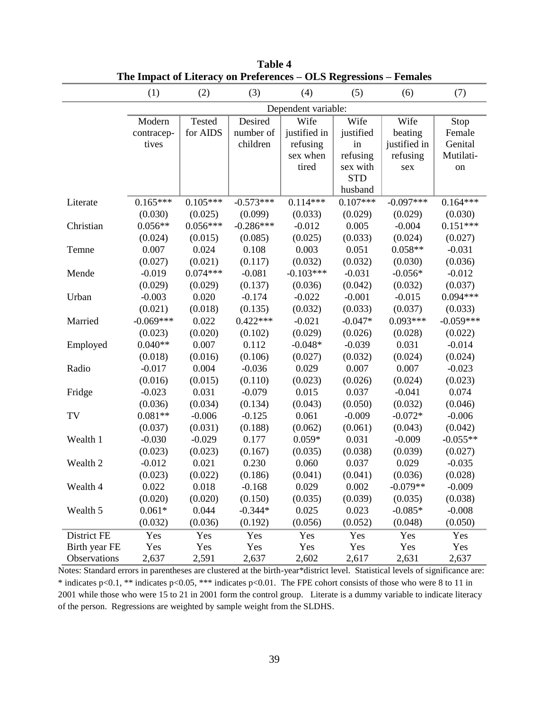|               | The impact of Eneracy on Freierences |            |             |                     | OLD <b>WEI</b> COUND |              |             |
|---------------|--------------------------------------|------------|-------------|---------------------|----------------------|--------------|-------------|
|               | (1)                                  | (2)        | (3)         | (4)                 | (5)                  | (6)          | (7)         |
|               |                                      |            |             | Dependent variable: |                      |              |             |
|               | Modern                               | Tested     | Desired     | Wife                | Wife                 | Wife         | Stop        |
|               | contracep-                           | for AIDS   | number of   | justified in        | justified            | beating      | Female      |
|               | tives                                |            | children    | refusing            | in                   | justified in | Genital     |
|               |                                      |            |             | sex when            | refusing             | refusing     | Mutilati-   |
|               |                                      |            |             | tired               | sex with             | sex          | on          |
|               |                                      |            |             |                     | <b>STD</b>           |              |             |
|               |                                      |            |             |                     | husband              |              |             |
| Literate      | $0.165***$                           | $0.105***$ | $-0.573***$ | $0.114***$          | $0.107***$           | $-0.097***$  | $0.164***$  |
|               | (0.030)                              | (0.025)    | (0.099)     | (0.033)             | (0.029)              | (0.029)      | (0.030)     |
| Christian     | $0.056**$                            | $0.056***$ | $-0.286***$ | $-0.012$            | 0.005                | $-0.004$     | $0.151***$  |
|               | (0.024)                              | (0.015)    | (0.085)     | (0.025)             | (0.033)              | (0.024)      | (0.027)     |
| Temne         | 0.007                                | 0.024      | 0.108       | 0.003               | 0.051                | $0.058**$    | $-0.031$    |
|               | (0.027)                              | (0.021)    | (0.117)     | (0.032)             | (0.032)              | (0.030)      | (0.036)     |
| Mende         | $-0.019$                             | $0.074***$ | $-0.081$    | $-0.103***$         | $-0.031$             | $-0.056*$    | $-0.012$    |
|               | (0.029)                              | (0.029)    | (0.137)     | (0.036)             | (0.042)              | (0.032)      | (0.037)     |
| Urban         | $-0.003$                             | 0.020      | $-0.174$    | $-0.022$            | $-0.001$             | $-0.015$     | $0.094***$  |
|               | (0.021)                              | (0.018)    | (0.135)     | (0.032)             | (0.033)              | (0.037)      | (0.033)     |
| Married       | $-0.069***$                          | 0.022      | $0.422***$  | $-0.021$            | $-0.047*$            | $0.093***$   | $-0.059***$ |
|               | (0.023)                              | (0.020)    | (0.102)     | (0.029)             | (0.026)              | (0.028)      | (0.022)     |
| Employed      | $0.040**$                            | 0.007      | 0.112       | $-0.048*$           | $-0.039$             | 0.031        | $-0.014$    |
|               | (0.018)                              | (0.016)    | (0.106)     | (0.027)             | (0.032)              | (0.024)      | (0.024)     |
| Radio         | $-0.017$                             | 0.004      | $-0.036$    | 0.029               | 0.007                | 0.007        | $-0.023$    |
|               | (0.016)                              | (0.015)    | (0.110)     | (0.023)             | (0.026)              | (0.024)      | (0.023)     |
| Fridge        | $-0.023$                             | 0.031      | $-0.079$    | 0.015               | 0.037                | $-0.041$     | 0.074       |
|               | (0.036)                              | (0.034)    | (0.134)     | (0.043)             | (0.050)              | (0.032)      | (0.046)     |
| TV            | $0.081**$                            | $-0.006$   | $-0.125$    | 0.061               | $-0.009$             | $-0.072*$    | $-0.006$    |
|               | (0.037)                              | (0.031)    | (0.188)     | (0.062)             | (0.061)              | (0.043)      | (0.042)     |
| Wealth 1      | $-0.030$                             | $-0.029$   | 0.177       | $0.059*$            | 0.031                | $-0.009$     | $-0.055**$  |
|               | (0.023)                              | (0.023)    | (0.167)     | (0.035)             | (0.038)              | (0.039)      | (0.027)     |
| Wealth 2      | $-0.012$                             | 0.021      | 0.230       | 0.060               | 0.037                | 0.029        | $-0.035$    |
|               | (0.023)                              | (0.022)    | (0.186)     | (0.041)             | (0.041)              | (0.036)      | (0.028)     |
| Wealth 4      | 0.022                                | 0.018      | $-0.168$    | 0.029               | 0.002                | $-0.079**$   | $-0.009$    |
|               | (0.020)                              | (0.020)    | (0.150)     | (0.035)             | (0.039)              | (0.035)      | (0.038)     |
| Wealth 5      | $0.061*$                             | 0.044      | $-0.344*$   | 0.025               | 0.023                | $-0.085*$    | $-0.008$    |
|               | (0.032)                              | (0.036)    | (0.192)     | (0.056)             | (0.052)              | (0.048)      | (0.050)     |
| District FE   | Yes                                  | Yes        | Yes         | Yes                 | Yes                  | Yes          | Yes         |
| Birth year FE | Yes                                  | Yes        | Yes         | Yes                 | Yes                  | Yes          | Yes         |
| Observations  | 2,637                                | 2,591      | 2,637       | 2,602               | 2,617                | 2,631        | 2,637       |

**Table 4 The Impact of Literacy on Preferences – OLS Regressions – Females**

Notes: Standard errors in parentheses are clustered at the birth-year\*district level. Statistical levels of significance are: \* indicates p<0.1, \*\* indicates p<0.05, \*\*\* indicates p<0.01. The FPE cohort consists of those who were 8 to 11 in 2001 while those who were 15 to 21 in 2001 form the control group. Literate is a dummy variable to indicate literacy of the person. Regressions are weighted by sample weight from the SLDHS.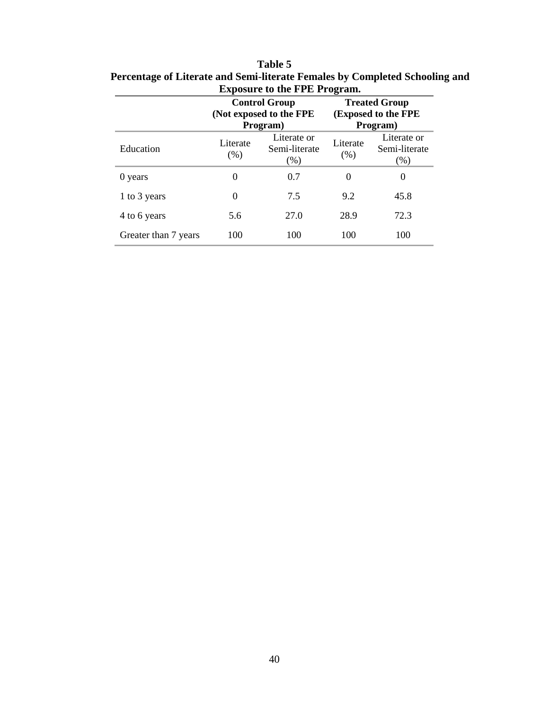|                      |                                                                  |                                                             | ె        |                                                         |
|----------------------|------------------------------------------------------------------|-------------------------------------------------------------|----------|---------------------------------------------------------|
|                      |                                                                  | <b>Control Group</b><br>(Not exposed to the FPE<br>Program) |          | <b>Treated Group</b><br>(Exposed to the FPE<br>Program) |
| Education            | Literate or<br>Literate<br>Semi-literate<br>(% )<br>(% )<br>(% ) |                                                             | Literate | Literate or<br>Semi-literate<br>(% )                    |
| 0 years              | 0                                                                | 0.7                                                         | $\Omega$ | $\theta$                                                |
| 1 to 3 years         | 0                                                                | 7.5                                                         | 9.2      | 45.8                                                    |
| 4 to 6 years         | 5.6                                                              | 27.0                                                        | 28.9     | 72.3                                                    |
| Greater than 7 years | 100                                                              | 100                                                         | 100      | 100                                                     |

**Table 5 Percentage of Literate and Semi-literate Females by Completed Schooling and Exposure to the FPE Program.**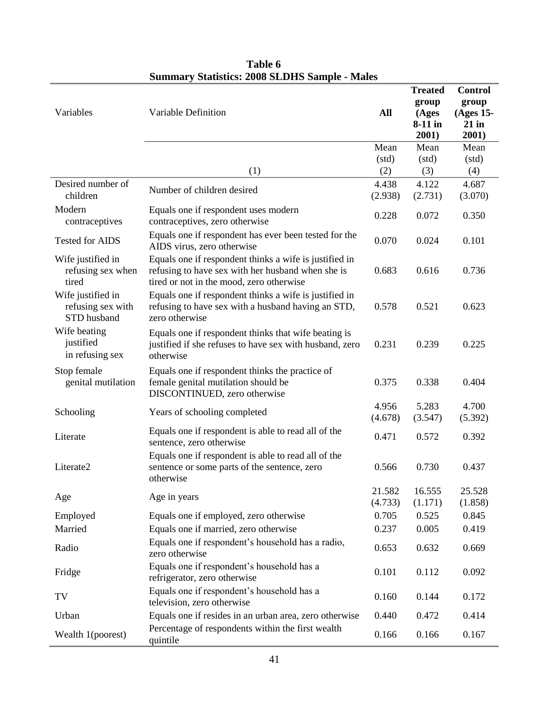| Variables                                             | Variable Definition                                                                                                                                     | All               | <b>Treated</b><br>group<br>(Ages<br>8-11 in<br>2001) | <b>Control</b><br>group<br>(Ages 15-<br>$21$ in<br>2001) |
|-------------------------------------------------------|---------------------------------------------------------------------------------------------------------------------------------------------------------|-------------------|------------------------------------------------------|----------------------------------------------------------|
|                                                       |                                                                                                                                                         | Mean              | Mean                                                 | Mean                                                     |
|                                                       |                                                                                                                                                         | (std)             | (std)                                                | (std)                                                    |
|                                                       | (1)                                                                                                                                                     | (2)               | (3)                                                  | (4)                                                      |
| Desired number of<br>children                         | Number of children desired                                                                                                                              | 4.438<br>(2.938)  | 4.122<br>(2.731)                                     | 4.687<br>(3.070)                                         |
| Modern<br>contraceptives                              | Equals one if respondent uses modern<br>contraceptives, zero otherwise                                                                                  | 0.228             | 0.072                                                | 0.350                                                    |
| <b>Tested for AIDS</b>                                | Equals one if respondent has ever been tested for the<br>AIDS virus, zero otherwise                                                                     | 0.070             | 0.024                                                | 0.101                                                    |
| Wife justified in<br>refusing sex when<br>tired       | Equals one if respondent thinks a wife is justified in<br>refusing to have sex with her husband when she is<br>tired or not in the mood, zero otherwise | 0.683             | 0.616                                                | 0.736                                                    |
| Wife justified in<br>refusing sex with<br>STD husband | Equals one if respondent thinks a wife is justified in<br>refusing to have sex with a husband having an STD,<br>zero otherwise                          | 0.578             | 0.521                                                | 0.623                                                    |
| Wife beating<br>justified<br>in refusing sex          | Equals one if respondent thinks that wife beating is<br>justified if she refuses to have sex with husband, zero<br>otherwise                            | 0.231             | 0.239                                                | 0.225                                                    |
| Stop female<br>genital mutilation                     | Equals one if respondent thinks the practice of<br>female genital mutilation should be<br>DISCONTINUED, zero otherwise                                  | 0.375             | 0.338                                                | 0.404                                                    |
| Schooling                                             | Years of schooling completed                                                                                                                            | 4.956<br>(4.678)  | 5.283<br>(3.547)                                     | 4.700<br>(5.392)                                         |
| Literate                                              | Equals one if respondent is able to read all of the<br>sentence, zero otherwise                                                                         | 0.471             | 0.572                                                | 0.392                                                    |
| Literate2                                             | Equals one if respondent is able to read all of the<br>sentence or some parts of the sentence, zero<br>otherwise                                        | 0.566             | 0.730                                                | 0.437                                                    |
| Age                                                   | Age in years                                                                                                                                            | 21.582<br>(4.733) | 16.555<br>(1.171)                                    | 25.528<br>(1.858)                                        |
| Employed                                              | Equals one if employed, zero otherwise                                                                                                                  | 0.705             | 0.525                                                | 0.845                                                    |
| Married                                               | Equals one if married, zero otherwise                                                                                                                   | 0.237             | 0.005                                                | 0.419                                                    |
| Radio                                                 | Equals one if respondent's household has a radio,<br>zero otherwise                                                                                     | 0.653             | 0.632                                                | 0.669                                                    |
| Fridge                                                | Equals one if respondent's household has a<br>refrigerator, zero otherwise                                                                              | 0.101             | 0.112                                                | 0.092                                                    |
| TV                                                    | Equals one if respondent's household has a<br>television, zero otherwise                                                                                | 0.160             | 0.144                                                | 0.172                                                    |
| Urban                                                 | Equals one if resides in an urban area, zero otherwise                                                                                                  | 0.440             | 0.472                                                | 0.414                                                    |
| Wealth 1(poorest)                                     | Percentage of respondents within the first wealth<br>quintile                                                                                           | 0.166             | 0.166                                                | 0.167                                                    |

# **Table 6 Summary Statistics: 2008 SLDHS Sample - Males**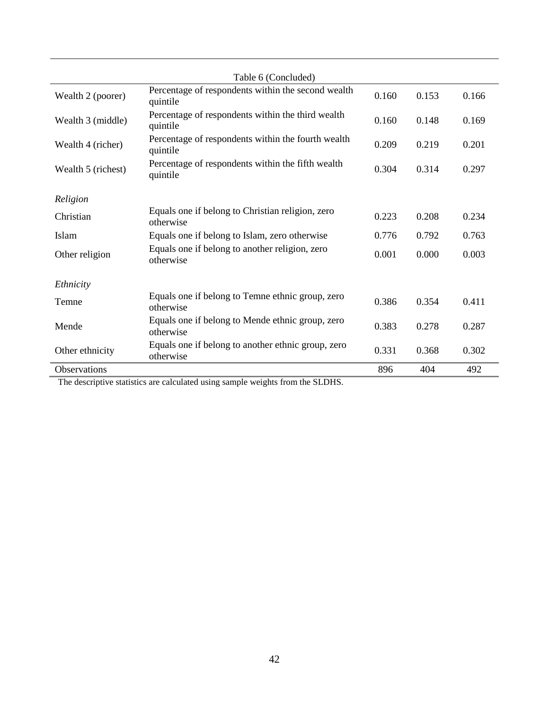|                     | Table 6 (Concluded)                                             |       |       |       |
|---------------------|-----------------------------------------------------------------|-------|-------|-------|
|                     |                                                                 |       |       |       |
| Wealth 2 (poorer)   | Percentage of respondents within the second wealth<br>quintile  | 0.160 | 0.153 | 0.166 |
| Wealth 3 (middle)   | Percentage of respondents within the third wealth<br>quintile   | 0.160 | 0.148 | 0.169 |
| Wealth 4 (richer)   | Percentage of respondents within the fourth wealth<br>quintile  | 0.209 | 0.219 | 0.201 |
| Wealth 5 (richest)  | Percentage of respondents within the fifth wealth<br>quintile   | 0.304 | 0.314 | 0.297 |
|                     |                                                                 |       |       |       |
| Religion            |                                                                 |       |       |       |
| Christian           | Equals one if belong to Christian religion, zero<br>otherwise   | 0.223 | 0.208 | 0.234 |
| Islam               | Equals one if belong to Islam, zero otherwise                   | 0.776 | 0.792 | 0.763 |
| Other religion      | Equals one if belong to another religion, zero<br>otherwise     | 0.001 | 0.000 | 0.003 |
|                     |                                                                 |       |       |       |
| Ethnicity           |                                                                 |       |       |       |
| Temne               | Equals one if belong to Temne ethnic group, zero<br>otherwise   | 0.386 | 0.354 | 0.411 |
| Mende               | Equals one if belong to Mende ethnic group, zero<br>otherwise   | 0.383 | 0.278 | 0.287 |
| Other ethnicity     | Equals one if belong to another ethnic group, zero<br>otherwise | 0.331 | 0.368 | 0.302 |
| <b>Observations</b> |                                                                 | 896   | 404   | 492   |

The descriptive statistics are calculated using sample weights from the SLDHS.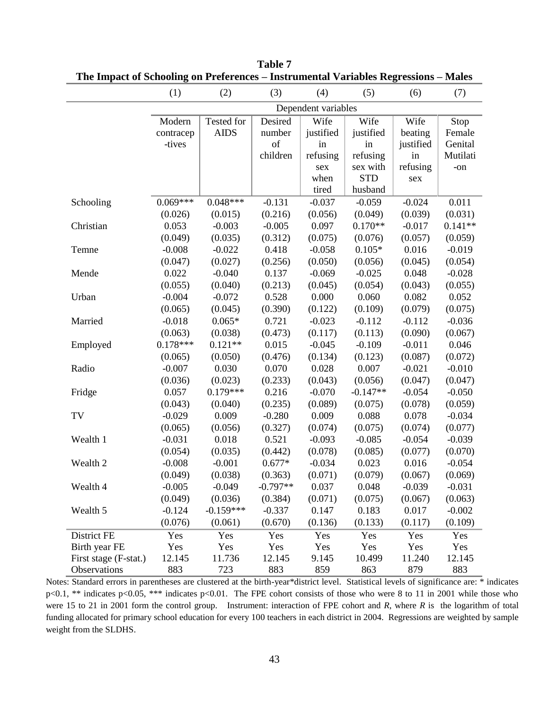|                       | (1)        | (2)         | (3)        | (4)                 | (5)        | (6)       | (7)       |
|-----------------------|------------|-------------|------------|---------------------|------------|-----------|-----------|
|                       |            |             |            | Dependent variables |            |           |           |
|                       | Modern     | Tested for  | Desired    | Wife                | Wife       | Wife      | Stop      |
|                       | contracep  | <b>AIDS</b> | number     | justified           | justified  | beating   | Female    |
|                       | -tives     |             | of         | in                  | in         | justified | Genital   |
|                       |            |             | children   | refusing            | refusing   | in        | Mutilati  |
|                       |            |             |            | sex                 | sex with   | refusing  | -on       |
|                       |            |             |            | when                | <b>STD</b> | sex       |           |
|                       |            |             |            | tired               | husband    |           |           |
| Schooling             | $0.069***$ | $0.048***$  | $-0.131$   | $-0.037$            | $-0.059$   | $-0.024$  | 0.011     |
|                       | (0.026)    | (0.015)     | (0.216)    | (0.056)             | (0.049)    | (0.039)   | (0.031)   |
| Christian             | 0.053      | $-0.003$    | $-0.005$   | 0.097               | $0.170**$  | $-0.017$  | $0.141**$ |
|                       | (0.049)    | (0.035)     | (0.312)    | (0.075)             | (0.076)    | (0.057)   | (0.059)   |
| Temne                 | $-0.008$   | $-0.022$    | 0.418      | $-0.058$            | $0.105*$   | 0.016     | $-0.019$  |
|                       | (0.047)    | (0.027)     | (0.256)    | (0.050)             | (0.056)    | (0.045)   | (0.054)   |
| Mende                 | 0.022      | $-0.040$    | 0.137      | $-0.069$            | $-0.025$   | 0.048     | $-0.028$  |
|                       | (0.055)    | (0.040)     | (0.213)    | (0.045)             | (0.054)    | (0.043)   | (0.055)   |
| Urban                 | $-0.004$   | $-0.072$    | 0.528      | 0.000               | 0.060      | 0.082     | 0.052     |
|                       | (0.065)    | (0.045)     | (0.390)    | (0.122)             | (0.109)    | (0.079)   | (0.075)   |
| Married               | $-0.018$   | $0.065*$    | 0.721      | $-0.023$            | $-0.112$   | $-0.112$  | $-0.036$  |
|                       | (0.063)    | (0.038)     | (0.473)    | (0.117)             | (0.113)    | (0.090)   | (0.067)   |
| Employed              | $0.178***$ | $0.121**$   | 0.015      | $-0.045$            | $-0.109$   | $-0.011$  | 0.046     |
|                       | (0.065)    | (0.050)     | (0.476)    | (0.134)             | (0.123)    | (0.087)   | (0.072)   |
| Radio                 | $-0.007$   | 0.030       | 0.070      | 0.028               | 0.007      | $-0.021$  | $-0.010$  |
|                       | (0.036)    | (0.023)     | (0.233)    | (0.043)             | (0.056)    | (0.047)   | (0.047)   |
| Fridge                | 0.057      | $0.179***$  | 0.216      | $-0.070$            | $-0.147**$ | $-0.054$  | $-0.050$  |
|                       | (0.043)    | (0.040)     | (0.235)    | (0.089)             | (0.075)    | (0.078)   | (0.059)   |
| TV                    | $-0.029$   | 0.009       | $-0.280$   | 0.009               | 0.088      | 0.078     | $-0.034$  |
|                       | (0.065)    | (0.056)     | (0.327)    | (0.074)             | (0.075)    | (0.074)   | (0.077)   |
| Wealth 1              | $-0.031$   | 0.018       | 0.521      | $-0.093$            | $-0.085$   | $-0.054$  | $-0.039$  |
|                       | (0.054)    | (0.035)     | (0.442)    | (0.078)             | (0.085)    | (0.077)   | (0.070)   |
| Wealth 2              | $-0.008$   | $-0.001$    | $0.677*$   | $-0.034$            | 0.023      | 0.016     | $-0.054$  |
|                       | (0.049)    | (0.038)     | (0.363)    | (0.071)             | (0.079)    | (0.067)   | (0.069)   |
| Wealth 4              | $-0.005$   | $-0.049$    | $-0.797**$ | 0.037               | 0.048      | $-0.039$  | $-0.031$  |
|                       | (0.049)    | (0.036)     | (0.384)    | (0.071)             | (0.075)    | (0.067)   | (0.063)   |
| Wealth 5              | $-0.124$   | $-0.159***$ | $-0.337$   | 0.147               | 0.183      | 0.017     | $-0.002$  |
|                       | (0.076)    | (0.061)     | (0.670)    | (0.136)             | (0.133)    | (0.117)   | (0.109)   |
| District FE           | Yes        | Yes         | Yes        | Yes                 | Yes        | Yes       | Yes       |
| Birth year FE         | Yes        | Yes         | Yes        | Yes                 | Yes        | Yes       | Yes       |
| First stage (F-stat.) | 12.145     | 11.736      | 12.145     | 9.145               | 10.499     | 11.240    | 12.145    |
| Observations          | 883        | 723         | 883        | 859                 | 863        | 879       | 883       |

**Table 7 The Impact of Schooling on Preferences – Instrumental Variables Regressions – Males**

Notes: Standard errors in parentheses are clustered at the birth-year\*district level. Statistical levels of significance are: \* indicates p<0.1, \*\* indicates p<0.05, \*\*\* indicates p<0.01. The FPE cohort consists of those who were 8 to 11 in 2001 while those who were 15 to 21 in 2001 form the control group. Instrument: interaction of FPE cohort and *R*, where *R* is the logarithm of total funding allocated for primary school education for every 100 teachers in each district in 2004. Regressions are weighted by sample weight from the SLDHS.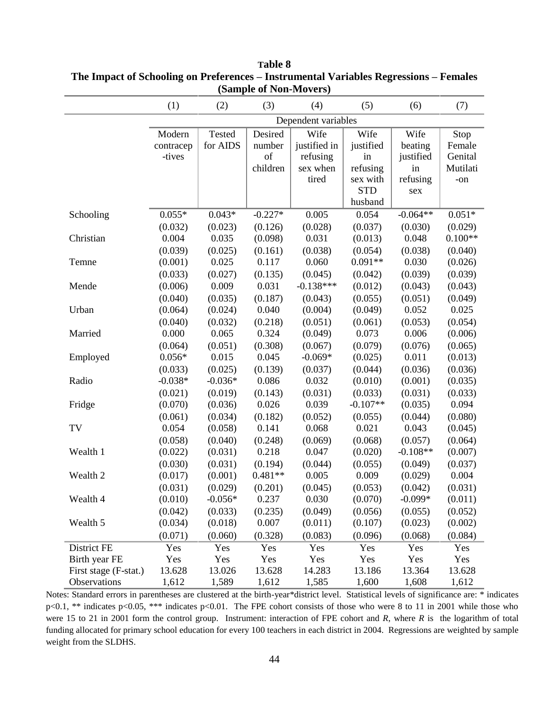|                       |                     |           | $($ Dampic of Tom IVIO (CID) |              |            |            |           |
|-----------------------|---------------------|-----------|------------------------------|--------------|------------|------------|-----------|
|                       | (1)                 | (2)       | (3)                          | (4)          | (5)        | (6)        | (7)       |
|                       | Dependent variables |           |                              |              |            |            |           |
|                       | Modern              | Tested    | Desired                      | Wife         | Wife       | Wife       | Stop      |
|                       | contracep           | for AIDS  | number                       | justified in | justified  | beating    | Female    |
|                       | -tives              |           | of                           | refusing     | in         | justified  | Genital   |
|                       |                     |           | children                     | sex when     | refusing   | in         | Mutilati  |
|                       |                     |           |                              | tired        | sex with   | refusing   | $-on$     |
|                       |                     |           |                              |              | <b>STD</b> | sex        |           |
|                       |                     |           |                              |              | husband    |            |           |
| Schooling             | $0.055*$            | $0.043*$  | $-0.227*$                    | 0.005        | 0.054      | $-0.064**$ | $0.051*$  |
|                       | (0.032)             | (0.023)   | (0.126)                      | (0.028)      | (0.037)    | (0.030)    | (0.029)   |
| Christian             | 0.004               | 0.035     | (0.098)                      | 0.031        | (0.013)    | 0.048      | $0.100**$ |
|                       | (0.039)             | (0.025)   | (0.161)                      | (0.038)      | (0.054)    | (0.038)    | (0.040)   |
| Temne                 | (0.001)             | 0.025     | 0.117                        | 0.060        | $0.091**$  | 0.030      | (0.026)   |
|                       | (0.033)             | (0.027)   | (0.135)                      | (0.045)      | (0.042)    | (0.039)    | (0.039)   |
| Mende                 | (0.006)             | 0.009     | 0.031                        | $-0.138***$  | (0.012)    | (0.043)    | (0.043)   |
|                       | (0.040)             | (0.035)   | (0.187)                      | (0.043)      | (0.055)    | (0.051)    | (0.049)   |
| Urban                 | (0.064)             | (0.024)   | 0.040                        | (0.004)      | (0.049)    | 0.052      | 0.025     |
|                       | (0.040)             | (0.032)   | (0.218)                      | (0.051)      | (0.061)    | (0.053)    | (0.054)   |
| Married               | 0.000               | 0.065     | 0.324                        | (0.049)      | 0.073      | 0.006      | (0.006)   |
|                       | (0.064)             | (0.051)   | (0.308)                      | (0.067)      | (0.079)    | (0.076)    | (0.065)   |
| Employed              | $0.056*$            | 0.015     | 0.045                        | $-0.069*$    | (0.025)    | 0.011      | (0.013)   |
|                       | (0.033)             | (0.025)   | (0.139)                      | (0.037)      | (0.044)    | (0.036)    | (0.036)   |
| Radio                 | $-0.038*$           | $-0.036*$ | 0.086                        | 0.032        | (0.010)    | (0.001)    | (0.035)   |
|                       | (0.021)             | (0.019)   | (0.143)                      | (0.031)      | (0.033)    | (0.031)    | (0.033)   |
| Fridge                | (0.070)             | (0.036)   | 0.026                        | 0.039        | $-0.107**$ | (0.035)    | 0.094     |
|                       | (0.061)             | (0.034)   | (0.182)                      | (0.052)      | (0.055)    | (0.044)    | (0.080)   |
| TV                    | 0.054               | (0.058)   | 0.141                        | 0.068        | 0.021      | 0.043      | (0.045)   |
|                       | (0.058)             | (0.040)   | (0.248)                      | (0.069)      | (0.068)    | (0.057)    | (0.064)   |
| Wealth 1              | (0.022)             | (0.031)   | 0.218                        | 0.047        | (0.020)    | $-0.108**$ | (0.007)   |
|                       | (0.030)             | (0.031)   | (0.194)                      | (0.044)      | (0.055)    | (0.049)    | (0.037)   |
| Wealth 2              | (0.017)             | (0.001)   | $0.481**$                    | 0.005        | 0.009      | (0.029)    | 0.004     |
|                       | (0.031)             | (0.029)   | (0.201)                      | (0.045)      | (0.053)    | (0.042)    | (0.031)   |
| Wealth 4              | (0.010)             | $-0.056*$ | 0.237                        | 0.030        | (0.070)    | $-0.099*$  | (0.011)   |
|                       | (0.042)             | (0.033)   | (0.235)                      | (0.049)      | (0.056)    | (0.055)    | (0.052)   |
| Wealth 5              | (0.034)             | (0.018)   | 0.007                        | (0.011)      | (0.107)    | (0.023)    | (0.002)   |
|                       | (0.071)             | (0.060)   | (0.328)                      | (0.083)      | (0.096)    | (0.068)    | (0.084)   |
| District FE           | Yes                 | Yes       | Yes                          | Yes          | Yes        | Yes        | Yes       |
| Birth year FE         | Yes                 | Yes       | Yes                          | Yes          | Yes        | Yes        | Yes       |
| First stage (F-stat.) | 13.628              | 13.026    | 13.628                       | 14.283       | 13.186     | 13.364     | 13.628    |
| Observations          | 1,612               | 1,589     | 1,612                        | 1,585        | 1,600      | 1,608      | 1,612     |

**Table 8 The Impact of Schooling on Preferences – Instrumental Variables Regressions – Females (Sample of Non-Movers)** 

Notes: Standard errors in parentheses are clustered at the birth-year\*district level. Statistical levels of significance are: \* indicates p<0.1, \*\* indicates p<0.05, \*\*\* indicates p<0.01. The FPE cohort consists of those who were 8 to 11 in 2001 while those who were 15 to 21 in 2001 form the control group. Instrument: interaction of FPE cohort and *R*, where *R* is the logarithm of total funding allocated for primary school education for every 100 teachers in each district in 2004. Regressions are weighted by sample weight from the SLDHS.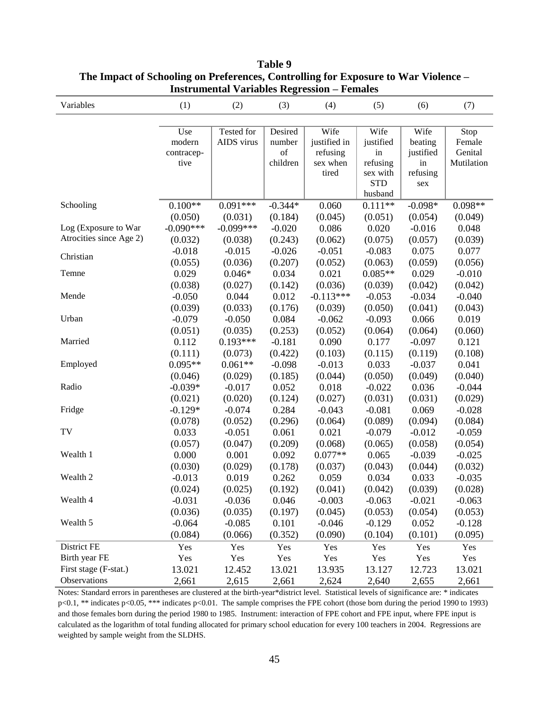| Variables               | (1)         | (2)         | (3)       | (4)          | (5)                    | (6)             | (7)        |
|-------------------------|-------------|-------------|-----------|--------------|------------------------|-----------------|------------|
|                         |             |             |           |              |                        |                 |            |
|                         | Use         | Tested for  | Desired   | Wife         | Wife                   | Wife            | Stop       |
|                         | modern      | AIDS virus  | number    | justified in | justified              | beating         | Female     |
|                         | contracep-  |             | of        | refusing     | in                     | justified       | Genital    |
|                         | tive        |             | children  | sex when     | refusing               | in              | Mutilation |
|                         |             |             |           | tired        | sex with<br><b>STD</b> | refusing<br>sex |            |
|                         |             |             |           |              | husband                |                 |            |
| Schooling               | $0.100**$   | $0.091***$  | $-0.344*$ | 0.060        | $0.111**$              | $-0.098*$       | $0.098**$  |
|                         | (0.050)     | (0.031)     | (0.184)   | (0.045)      | (0.051)                | (0.054)         | (0.049)    |
| Log (Exposure to War    | $-0.090***$ | $-0.099***$ | $-0.020$  | 0.086        | 0.020                  | $-0.016$        | 0.048      |
| Atrocities since Age 2) | (0.032)     | (0.038)     | (0.243)   | (0.062)      | (0.075)                | (0.057)         | (0.039)    |
|                         | $-0.018$    | $-0.015$    | $-0.026$  | $-0.051$     | $-0.083$               | 0.075           | 0.077      |
| Christian               | (0.055)     | (0.036)     | (0.207)   | (0.052)      | (0.063)                | (0.059)         | (0.056)    |
| Temne                   | 0.029       | $0.046*$    | 0.034     | 0.021        | $0.085**$              | 0.029           | $-0.010$   |
|                         | (0.038)     | (0.027)     | (0.142)   | (0.036)      | (0.039)                | (0.042)         | (0.042)    |
| Mende                   | $-0.050$    | 0.044       | 0.012     | $-0.113***$  | $-0.053$               | $-0.034$        | $-0.040$   |
|                         | (0.039)     | (0.033)     | (0.176)   | (0.039)      | (0.050)                | (0.041)         | (0.043)    |
| Urban                   | $-0.079$    | $-0.050$    | 0.084     | $-0.062$     | $-0.093$               | 0.066           | 0.019      |
|                         | (0.051)     | (0.035)     | (0.253)   | (0.052)      | (0.064)                | (0.064)         | (0.060)    |
| Married                 | 0.112       | $0.193***$  | $-0.181$  | 0.090        | 0.177                  | $-0.097$        | 0.121      |
|                         | (0.111)     | (0.073)     | (0.422)   | (0.103)      | (0.115)                | (0.119)         | (0.108)    |
| Employed                | $0.095**$   | $0.061**$   | $-0.098$  | $-0.013$     | 0.033                  | $-0.037$        | 0.041      |
|                         | (0.046)     | (0.029)     | (0.185)   | (0.044)      | (0.050)                | (0.049)         | (0.040)    |
| Radio                   | $-0.039*$   | $-0.017$    | 0.052     | 0.018        | $-0.022$               | 0.036           | $-0.044$   |
|                         | (0.021)     | (0.020)     | (0.124)   | (0.027)      | (0.031)                | (0.031)         | (0.029)    |
| Fridge                  | $-0.129*$   | $-0.074$    | 0.284     | $-0.043$     | $-0.081$               | 0.069           | $-0.028$   |
|                         | (0.078)     | (0.052)     | (0.296)   | (0.064)      | (0.089)                | (0.094)         | (0.084)    |
| TV                      | 0.033       | $-0.051$    | 0.061     | 0.021        | $-0.079$               | $-0.012$        | $-0.059$   |
|                         | (0.057)     | (0.047)     | (0.209)   | (0.068)      | (0.065)                | (0.058)         | (0.054)    |
| Wealth 1                | 0.000       | 0.001       | 0.092     | $0.077**$    | 0.065                  | $-0.039$        | $-0.025$   |
|                         | (0.030)     | (0.029)     | (0.178)   | (0.037)      | (0.043)                | (0.044)         | (0.032)    |
| Wealth 2                | $-0.013$    | 0.019       | 0.262     | 0.059        | 0.034                  | 0.033           | $-0.035$   |
|                         | (0.024)     | (0.025)     | (0.192)   | (0.041)      | (0.042)                | (0.039)         | (0.028)    |
| Wealth 4                | $-0.031$    | $-0.036$    | 0.046     | $-0.003$     | $-0.063$               | $-0.021$        | $-0.063$   |
|                         | (0.036)     | (0.035)     | (0.197)   | (0.045)      | (0.053)                | (0.054)         | (0.053)    |
| Wealth 5                | $-0.064$    | $-0.085$    | 0.101     | $-0.046$     | $-0.129$               | 0.052           | $-0.128$   |
|                         | (0.084)     | (0.066)     | (0.352)   | (0.090)      | (0.104)                | (0.101)         | (0.095)    |
| District FE             | Yes         | Yes         | Yes       | Yes          | Yes                    | Yes             | Yes        |
| Birth year FE           | Yes         | Yes         | Yes       | Yes          | Yes                    | Yes             | Yes        |
| First stage (F-stat.)   | 13.021      | 12.452      | 13.021    | 13.935       | 13.127                 | 12.723          | 13.021     |
| Observations            | 2,661       | 2,615       | 2,661     | 2,624        | 2,640                  | 2,655           | 2,661      |

# **Table 9 The Impact of Schooling on Preferences, Controlling for Exposure to War Violence – Instrumental Variables Regression – Females**

Notes: Standard errors in parentheses are clustered at the birth-year\*district level. Statistical levels of significance are: \* indicates p<0.1, \*\* indicates p<0.05, \*\*\* indicates p<0.01. The sample comprises the FPE cohort (those born during the period 1990 to 1993) and those females born during the period 1980 to 1985. Instrument: interaction of FPE cohort and FPE input, where FPE input is calculated as the logarithm of total funding allocated for primary school education for every 100 teachers in 2004. Regressions are weighted by sample weight from the SLDHS.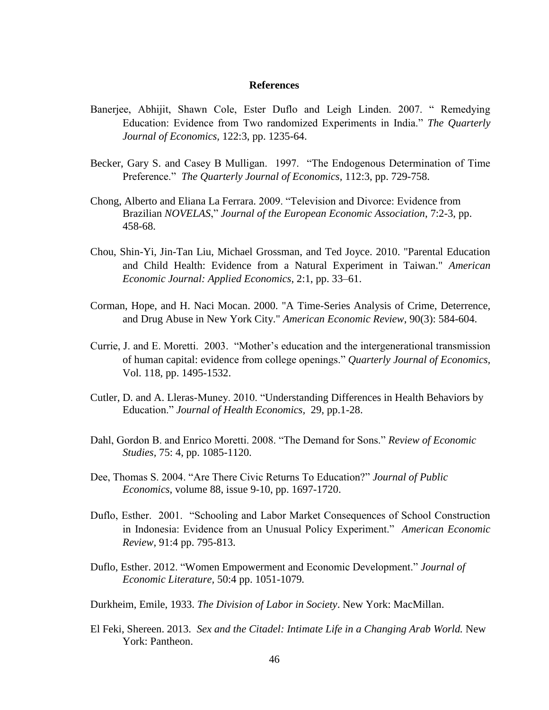#### **References**

- Banerjee, Abhijit, Shawn Cole, Ester Duflo and Leigh Linden. 2007. " Remedying Education: Evidence from Two randomized Experiments in India." *The Quarterly Journal of Economics,* 122:3, pp. 1235-64.
- Becker, Gary S. and Casey B Mulligan. 1997. "The Endogenous Determination of Time Preference." *The Quarterly Journal of Economics,* 112:3, pp. 729-758.
- Chong, Alberto and Eliana La Ferrara. 2009. "Television and Divorce: Evidence from Brazilian *NOVELAS*," *Journal of the European Economic Association*, 7:2-3, pp. 458-68.
- Chou, Shin-Yi, Jin-Tan Liu, Michael Grossman, and Ted Joyce. 2010. "Parental Education and Child Health: Evidence from a Natural Experiment in Taiwan." *American Economic Journal: Applied Economics*, 2:1, pp. 33–61.
- Corman, Hope, and H. Naci Mocan. 2000. "A Time-Series Analysis of Crime, Deterrence, and Drug Abuse in New York City." *American Economic Review*, 90(3): 584-604.
- Currie, J. and E. Moretti. 2003. "Mother's education and the intergenerational transmission of human capital: evidence from college openings." *Quarterly Journal of Economics,*  Vol. 118, pp. 1495-1532.
- Cutler, D. and A. Lleras-Muney. 2010. "Understanding Differences in Health Behaviors by Education." *Journal of Health Economics,* 29, pp.1-28.
- Dahl, Gordon B. and Enrico Moretti. 2008. "The Demand for Sons." *Review of Economic Studies,* 75: 4, pp. 1085-1120.
- Dee, Thomas S. 2004. "Are There Civic Returns To Education?" *Journal of Public Economics*, volume 88, issue 9-10, pp. 1697-1720.
- Duflo, Esther. 2001. "Schooling and Labor Market Consequences of School Construction in Indonesia: Evidence from an Unusual Policy Experiment." *American Economic Review,* 91:4 pp. 795-813.
- Duflo, Esther. 2012. "Women Empowerment and Economic Development." *Journal of Economic Literature,* 50:4 pp. 1051-1079*.*
- Durkheim, Emile, 1933. *The Division of Labor in Society*. New York: MacMillan.
- El Feki, Shereen. 2013. *Sex and the Citadel: Intimate Life in a Changing Arab World.* New York: Pantheon.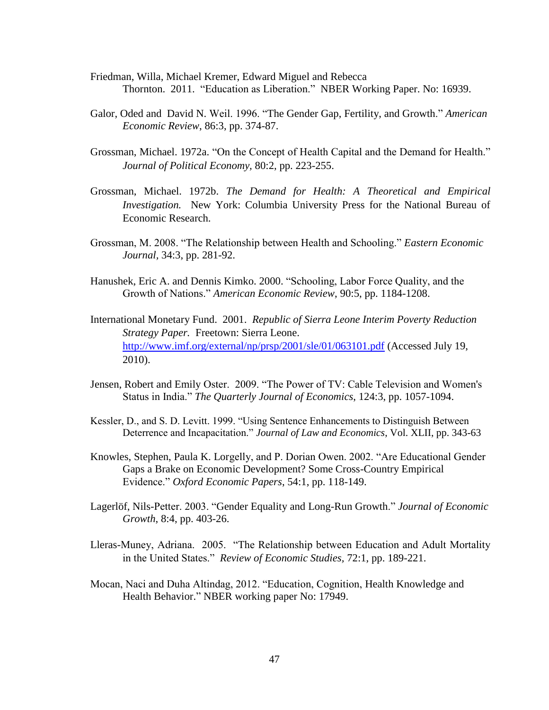- Friedman, Willa, Michael Kremer, Edward Miguel and Rebecca Thornton. 2011. "Education as Liberation." NBER Working Paper. No: 16939.
- Galor, Oded and David N. Weil. 1996. "The Gender Gap, Fertility, and Growth." *American Economic Review*, 86:3, pp. 374-87.
- Grossman, Michael. 1972a. "On the Concept of Health Capital and the Demand for Health." *Journal of Political Economy,* 80:2, pp. 223-255.
- Grossman, Michael. 1972b. *The Demand for Health: A Theoretical and Empirical Investigation.* New York: Columbia University Press for the National Bureau of Economic Research.
- Grossman, M. 2008. "The Relationship between Health and Schooling." *Eastern Economic Journal,* 34:3, pp. 281-92.
- Hanushek, Eric A. and Dennis Kimko. 2000. "Schooling, Labor Force Quality, and the Growth of Nations." *American Economic Review*, 90:5, pp. 1184-1208.
- International Monetary Fund. 2001. *Republic of Sierra Leone Interim Poverty Reduction Strategy Paper.* Freetown: Sierra Leone. <http://www.imf.org/external/np/prsp/2001/sle/01/063101.pdf> (Accessed July 19, 2010).
- Jensen, Robert and Emily Oster. 2009. "The Power of TV: Cable Television and Women's Status in India." *The Quarterly Journal of Economics*, 124:3, pp. 1057-1094.
- Kessler, D., and S. D. Levitt. 1999. "Using Sentence Enhancements to Distinguish Between Deterrence and Incapacitation." *Journal of Law and Economics*, Vol. XLII, pp. 343-63
- Knowles, Stephen, Paula K. Lorgelly, and P. Dorian Owen. 2002. "Are Educational Gender Gaps a Brake on Economic Development? Some Cross-Country Empirical Evidence." *Oxford Economic Papers*, 54:1, pp. 118-149.
- Lagerlöf, Nils-Petter. 2003. "Gender Equality and Long-Run Growth." *Journal of Economic Growth*, 8:4, pp. 403-26.
- Lleras-Muney, Adriana. 2005. "The Relationship between Education and Adult Mortality in the United States." *Review of Economic Studies,* 72:1, pp. 189-221.
- Mocan, Naci and Duha Altindag, 2012. "Education, Cognition, Health Knowledge and Health Behavior." NBER working paper No: 17949.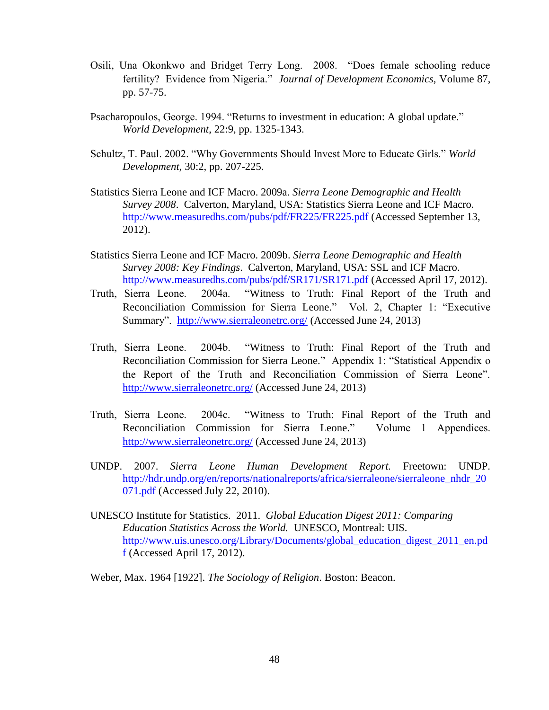- Osili, Una Okonkwo and Bridget Terry Long. 2008. "Does female schooling reduce fertility? Evidence from Nigeria." *Journal of Development Economics,* Volume 87, pp. 57-75.
- Psacharopoulos, George. 1994. "Returns to investment in education: A global update." *World Development*, 22:9, pp. 1325-1343.
- Schultz, T. Paul. 2002. "Why Governments Should Invest More to Educate Girls." *World Development,* 30:2, pp. 207-225.
- Statistics Sierra Leone and ICF Macro. 2009a. *Sierra Leone Demographic and Health Survey 2008*. Calverton, Maryland, USA: Statistics Sierra Leone and ICF Macro. <http://www.measuredhs.com/pubs/pdf/FR225/FR225.pdf> (Accessed September 13, 2012).
- Statistics Sierra Leone and ICF Macro. 2009b. *Sierra Leone Demographic and Health Survey 2008: Key Findings*. Calverton, Maryland, USA: SSL and ICF Macro. <http://www.measuredhs.com/pubs/pdf/SR171/SR171.pdf> (Accessed April 17, 2012).
- Truth, Sierra Leone. 2004a. "Witness to Truth: Final Report of the Truth and Reconciliation Commission for Sierra Leone." Vol. 2, Chapter 1: "Executive Summary". <http://www.sierraleonetrc.org/> (Accessed June 24, 2013)
- Truth, Sierra Leone. 2004b. "Witness to Truth: Final Report of the Truth and Reconciliation Commission for Sierra Leone." Appendix 1: "Statistical Appendix o the Report of the Truth and Reconciliation Commission of Sierra Leone". <http://www.sierraleonetrc.org/> (Accessed June 24, 2013)
- Truth, Sierra Leone. 2004c. "Witness to Truth: Final Report of the Truth and Reconciliation Commission for Sierra Leone." Volume 1 Appendices. <http://www.sierraleonetrc.org/> (Accessed June 24, 2013)
- UNDP. 2007. *Sierra Leone Human Development Report.* Freetown: UNDP. [http://hdr.undp.org/en/reports/nationalreports/africa/sierraleone/sierraleone\\_nhdr\\_20](http://hdr.undp.org/en/reports/nationalreports/africa/sierraleone/sierraleone_nhdr_20071.pdf)\_ [071.pdf](http://hdr.undp.org/en/reports/nationalreports/africa/sierraleone/sierraleone_nhdr_20071.pdf) (Accessed July 22, 2010).
- UNESCO Institute for Statistics. 2011. *Global Education Digest 2011: Comparing Education Statistics Across the World.* UNESCO, Montreal: UIS. [http://www.uis.unesco.org/Library/Documents/global\\_education\\_digest\\_2011\\_en.pd](http://www.uis.unesco.org/Library/Documents/global_education_digest_2011_en.pdf) [f](http://www.uis.unesco.org/Library/Documents/global_education_digest_2011_en.pdf) (Accessed April 17, 2012).

Weber, Max. 1964 [1922]. *The Sociology of Religion*. Boston: Beacon.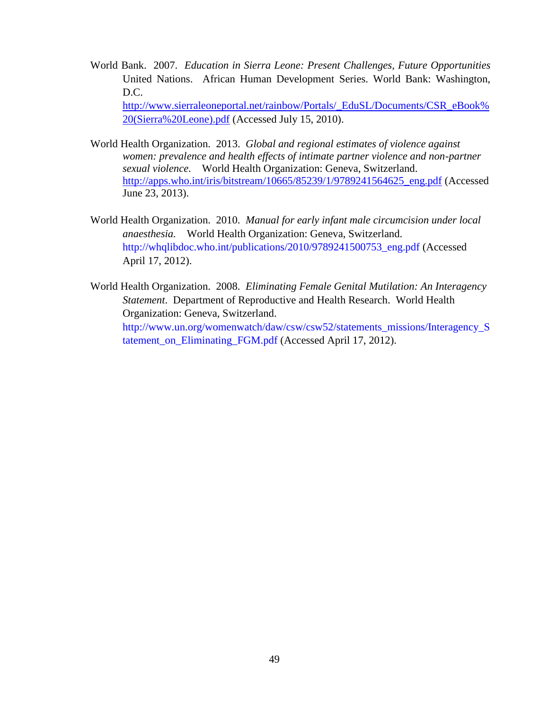- World Bank. 2007. *Education in Sierra Leone: Present Challenges, Future Opportunities*  United Nations. African Human Development Series. World Bank: Washington, D.C. [http://www.sierraleoneportal.net/rainbow/Portals/\\_EduSL/Documents/CSR\\_eBook%](http://www.sierraleoneportal.net/rainbow/Portals/_EduSL/Documents/CSR_eBook%20(Sierra%20Leone).pdf) [20\(Sierra%20Leone\).pdf](http://www.sierraleoneportal.net/rainbow/Portals/_EduSL/Documents/CSR_eBook%20(Sierra%20Leone).pdf) (Accessed July 15, 2010).
- World Health Organization. 2013. *Global and regional estimates of violence against women: prevalence and health effects of intimate partner violence and non-partner sexual violence.* World Health Organization: Geneva, Switzerland. [http://apps.who.int/iris/bitstream/10665/85239/1/9789241564625\\_eng.pdf](http://apps.who.int/iris/bitstream/10665/85239/1/9789241564625_eng.pdf) (Accessed June 23, 2013).
- World Health Organization. 2010. *Manual for early infant male circumcision under local anaesthesia.* World Health Organization: Geneva, Switzerland. [http://whqlibdoc.who.int/publications/2010/9789241500753\\_eng.pdf](http://whqlibdoc.who.int/publications/2010/9789241500753_eng.pdf) (Accessed April 17, 2012).
- World Health Organization. 2008. *Eliminating Female Genital Mutilation: An Interagency Statement*. Department of Reproductive and Health Research. World Health Organization: Geneva, Switzerland. [http://www.un.org/womenwatch/daw/csw/csw52/statements\\_missions/Interagency\\_S](http://www.un.org/womenwatch/daw/csw/csw52/statements_missions/Interagency_Statement_on_Eliminating_FGM.pdf) [tatement\\_on\\_Eliminating\\_FGM.pdf](http://www.un.org/womenwatch/daw/csw/csw52/statements_missions/Interagency_Statement_on_Eliminating_FGM.pdf) (Accessed April 17, 2012).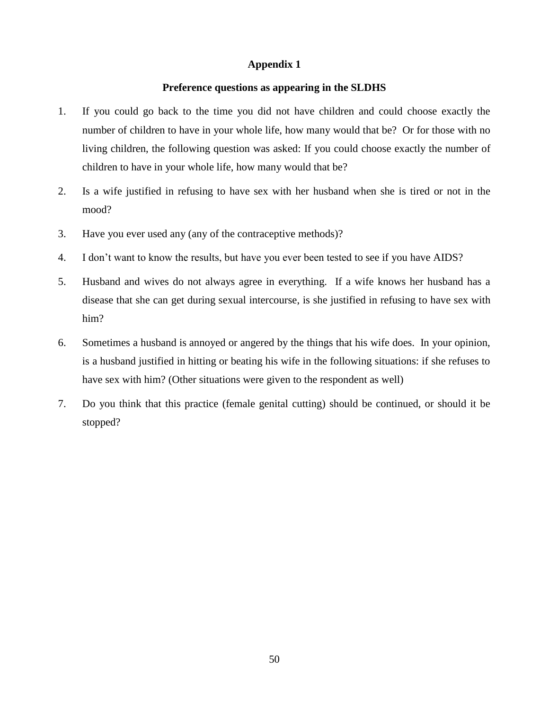# **Appendix 1**

## **Preference questions as appearing in the SLDHS**

- 1. If you could go back to the time you did not have children and could choose exactly the number of children to have in your whole life, how many would that be? Or for those with no living children, the following question was asked: If you could choose exactly the number of children to have in your whole life, how many would that be?
- 2. Is a wife justified in refusing to have sex with her husband when she is tired or not in the mood?
- 3. Have you ever used any (any of the contraceptive methods)?
- 4. I don't want to know the results, but have you ever been tested to see if you have AIDS?
- 5. Husband and wives do not always agree in everything. If a wife knows her husband has a disease that she can get during sexual intercourse, is she justified in refusing to have sex with him?
- 6. Sometimes a husband is annoyed or angered by the things that his wife does. In your opinion, is a husband justified in hitting or beating his wife in the following situations: if she refuses to have sex with him? (Other situations were given to the respondent as well)
- 7. Do you think that this practice (female genital cutting) should be continued, or should it be stopped?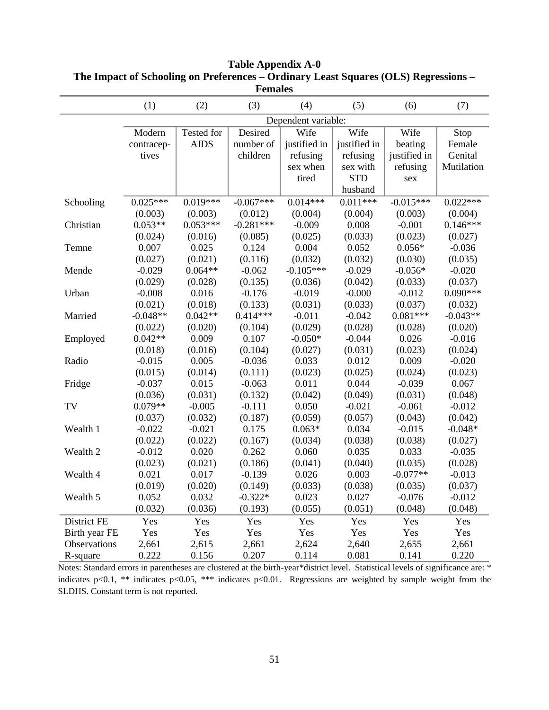| <b>Females</b> |                     |             |             |              |              |              |            |  |  |
|----------------|---------------------|-------------|-------------|--------------|--------------|--------------|------------|--|--|
|                | (1)                 | (2)         | (3)         | (4)          | (5)          | (6)          | (7)        |  |  |
|                | Dependent variable: |             |             |              |              |              |            |  |  |
|                | Modern              | Tested for  | Desired     | Wife         | Wife         | Wife         | Stop       |  |  |
|                | contracep-          | <b>AIDS</b> | number of   | justified in | justified in | beating      | Female     |  |  |
|                | tives               |             | children    | refusing     | refusing     | justified in | Genital    |  |  |
|                |                     |             |             | sex when     | sex with     | refusing     | Mutilation |  |  |
|                |                     |             |             | tired        | <b>STD</b>   | sex          |            |  |  |
|                |                     |             |             |              | husband      |              |            |  |  |
| Schooling      | $0.025***$          | $0.019***$  | $-0.067***$ | $0.014***$   | $0.011***$   | $-0.015***$  | $0.022***$ |  |  |
|                | (0.003)             | (0.003)     | (0.012)     | (0.004)      | (0.004)      | (0.003)      | (0.004)    |  |  |
| Christian      | $0.053**$           | $0.053***$  | $-0.281***$ | $-0.009$     | 0.008        | $-0.001$     | $0.146***$ |  |  |
|                | (0.024)             | (0.016)     | (0.085)     | (0.025)      | (0.033)      | (0.023)      | (0.027)    |  |  |
| Temne          | 0.007               | 0.025       | 0.124       | 0.004        | 0.052        | $0.056*$     | $-0.036$   |  |  |
|                | (0.027)             | (0.021)     | (0.116)     | (0.032)      | (0.032)      | (0.030)      | (0.035)    |  |  |
| Mende          | $-0.029$            | $0.064**$   | $-0.062$    | $-0.105***$  | $-0.029$     | $-0.056*$    | $-0.020$   |  |  |
|                | (0.029)             | (0.028)     | (0.135)     | (0.036)      | (0.042)      | (0.033)      | (0.037)    |  |  |
| Urban          | $-0.008$            | 0.016       | $-0.176$    | $-0.019$     | $-0.000$     | $-0.012$     | $0.090***$ |  |  |
|                | (0.021)             | (0.018)     | (0.133)     | (0.031)      | (0.033)      | (0.037)      | (0.032)    |  |  |
| Married        | $-0.048**$          | $0.042**$   | $0.414***$  | $-0.011$     | $-0.042$     | $0.081***$   | $-0.043**$ |  |  |
|                | (0.022)             | (0.020)     | (0.104)     | (0.029)      | (0.028)      | (0.028)      | (0.020)    |  |  |
| Employed       | $0.042**$           | 0.009       | 0.107       | $-0.050*$    | $-0.044$     | 0.026        | $-0.016$   |  |  |
|                | (0.018)             | (0.016)     | (0.104)     | (0.027)      | (0.031)      | (0.023)      | (0.024)    |  |  |
| Radio          | $-0.015$            | 0.005       | $-0.036$    | 0.033        | 0.012        | 0.009        | $-0.020$   |  |  |
|                | (0.015)             | (0.014)     | (0.111)     | (0.023)      | (0.025)      | (0.024)      | (0.023)    |  |  |
| Fridge         | $-0.037$            | 0.015       | $-0.063$    | 0.011        | 0.044        | $-0.039$     | 0.067      |  |  |
|                | (0.036)             | (0.031)     | (0.132)     | (0.042)      | (0.049)      | (0.031)      | (0.048)    |  |  |
| TV             | $0.079**$           | $-0.005$    | $-0.111$    | 0.050        | $-0.021$     | $-0.061$     | $-0.012$   |  |  |
|                | (0.037)             | (0.032)     | (0.187)     | (0.059)      | (0.057)      | (0.043)      | (0.042)    |  |  |
| Wealth 1       | $-0.022$            | $-0.021$    | 0.175       | $0.063*$     | 0.034        | $-0.015$     | $-0.048*$  |  |  |
|                | (0.022)             | (0.022)     | (0.167)     | (0.034)      | (0.038)      | (0.038)      | (0.027)    |  |  |
| Wealth 2       | $-0.012$            | 0.020       | 0.262       | 0.060        | 0.035        | 0.033        | $-0.035$   |  |  |
|                | (0.023)             | (0.021)     | (0.186)     | (0.041)      | (0.040)      | (0.035)      | (0.028)    |  |  |
| Wealth 4       | 0.021               | 0.017       | $-0.139$    | 0.026        | 0.003        | $-0.077**$   | $-0.013$   |  |  |
|                | (0.019)             | (0.020)     | (0.149)     | (0.033)      | (0.038)      | (0.035)      | (0.037)    |  |  |
| Wealth 5       | 0.052               | 0.032       | $-0.322*$   | 0.023        | 0.027        | $-0.076$     | $-0.012$   |  |  |
|                | (0.032)             | (0.036)     | (0.193)     | (0.055)      | (0.051)      | (0.048)      | (0.048)    |  |  |
| District FE    | Yes                 | Yes         | Yes         | Yes          | Yes          | Yes          | Yes        |  |  |
| Birth year FE  | Yes                 | Yes         | Yes         | Yes          | Yes          | Yes          | Yes        |  |  |
| Observations   | 2,661               | 2,615       | 2,661       | 2,624        | 2,640        | 2,655        | 2,661      |  |  |
| R-square       | 0.222               | 0.156       | 0.207       | 0.114        | 0.081        | 0.141        | 0.220      |  |  |

# **Table Appendix A-0 The Impact of Schooling on Preferences – Ordinary Least Squares (OLS) Regressions – Females**

Notes: Standard errors in parentheses are clustered at the birth-year\*district level. Statistical levels of significance are: \* indicates p<0.1, \*\* indicates p<0.05, \*\*\* indicates p<0.01. Regressions are weighted by sample weight from the SLDHS. Constant term is not reported.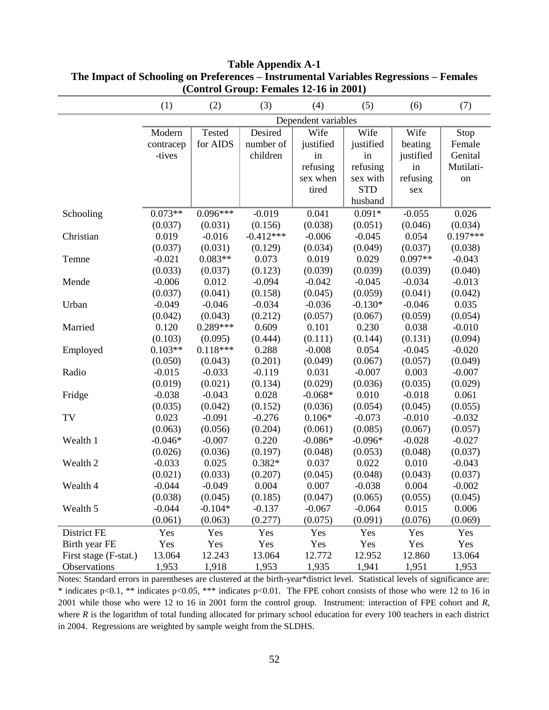| (Control Group, Femants 12-10 m 2001) |                     |            |             |           |            |           |            |  |
|---------------------------------------|---------------------|------------|-------------|-----------|------------|-----------|------------|--|
|                                       | (1)                 | (2)        | (3)         | (4)       | (5)        | (6)       | (7)        |  |
|                                       | Dependent variables |            |             |           |            |           |            |  |
|                                       | Modern              | Tested     | Desired     | Wife      | Wife       | Wife      | Stop       |  |
|                                       | contracep           | for AIDS   | number of   | justified | justified  | beating   | Female     |  |
|                                       | -tives              |            | children    | in        | in         | justified | Genital    |  |
|                                       |                     |            |             | refusing  | refusing   | in        | Mutilati-  |  |
|                                       |                     |            |             | sex when  | sex with   | refusing  | on         |  |
|                                       |                     |            |             | tired     | <b>STD</b> | sex       |            |  |
|                                       |                     |            |             |           | husband    |           |            |  |
| Schooling                             | $0.073**$           | $0.096***$ | $-0.019$    | 0.041     | $0.091*$   | $-0.055$  | 0.026      |  |
|                                       | (0.037)             | (0.031)    | (0.156)     | (0.038)   | (0.051)    | (0.046)   | (0.034)    |  |
| Christian                             | 0.019               | $-0.016$   | $-0.412***$ | $-0.006$  | $-0.045$   | 0.054     | $0.197***$ |  |
|                                       | (0.037)             | (0.031)    | (0.129)     | (0.034)   | (0.049)    | (0.037)   | (0.038)    |  |
| Temne                                 | $-0.021$            | $0.083**$  | 0.073       | 0.019     | 0.029      | $0.097**$ | $-0.043$   |  |
|                                       | (0.033)             | (0.037)    | (0.123)     | (0.039)   | (0.039)    | (0.039)   | (0.040)    |  |
| Mende                                 | $-0.006$            | 0.012      | $-0.094$    | $-0.042$  | $-0.045$   | $-0.034$  | $-0.013$   |  |
|                                       | (0.037)             | (0.041)    | (0.158)     | (0.045)   | (0.059)    | (0.041)   | (0.042)    |  |
| Urban                                 | $-0.049$            | $-0.046$   | $-0.034$    | $-0.036$  | $-0.130*$  | $-0.046$  | 0.035      |  |
|                                       | (0.042)             | (0.043)    | (0.212)     | (0.057)   | (0.067)    | (0.059)   | (0.054)    |  |
| Married                               | 0.120               | $0.289***$ | 0.609       | 0.101     | 0.230      | 0.038     | $-0.010$   |  |
|                                       | (0.103)             | (0.095)    | (0.444)     | (0.111)   | (0.144)    | (0.131)   | (0.094)    |  |
| Employed                              | $0.103**$           | $0.118***$ | 0.288       | $-0.008$  | 0.054      | $-0.045$  | $-0.020$   |  |
|                                       | (0.050)             | (0.043)    | (0.201)     | (0.049)   | (0.067)    | (0.057)   | (0.049)    |  |
| Radio                                 | $-0.015$            | $-0.033$   | $-0.119$    | 0.031     | $-0.007$   | 0.003     | $-0.007$   |  |
|                                       | (0.019)             | (0.021)    | (0.134)     | (0.029)   | (0.036)    | (0.035)   | (0.029)    |  |
| Fridge                                | $-0.038$            | $-0.043$   | 0.028       | $-0.068*$ | 0.010      | $-0.018$  | 0.061      |  |
|                                       | (0.035)             | (0.042)    | (0.152)     | (0.036)   | (0.054)    | (0.045)   | (0.055)    |  |
| TV                                    | 0.023               | $-0.091$   | $-0.276$    | $0.106*$  | $-0.073$   | $-0.010$  | $-0.032$   |  |
|                                       | (0.063)             | (0.056)    | (0.204)     | (0.061)   | (0.085)    | (0.067)   | (0.057)    |  |
| Wealth 1                              | $-0.046*$           | $-0.007$   | 0.220       | $-0.086*$ | $-0.096*$  | $-0.028$  | $-0.027$   |  |
|                                       | (0.026)             | (0.036)    | (0.197)     | (0.048)   | (0.053)    | (0.048)   | (0.037)    |  |
| Wealth 2                              | $-0.033$            | 0.025      | $0.382*$    | 0.037     | 0.022      | 0.010     | $-0.043$   |  |
|                                       | (0.021)             | (0.033)    | (0.207)     | (0.045)   | (0.048)    | (0.043)   | (0.037)    |  |
| Wealth 4                              | $-0.044$            | $-0.049$   | 0.004       | 0.007     | $-0.038$   | 0.004     | $-0.002$   |  |
|                                       | (0.038)             | (0.045)    | (0.185)     | (0.047)   | (0.065)    | (0.055)   | (0.045)    |  |
| Wealth 5                              | $-0.044$            | $-0.104*$  | $-0.137$    | $-0.067$  | $-0.064$   | 0.015     | 0.006      |  |
|                                       | (0.061)             | (0.063)    | (0.277)     | (0.075)   | (0.091)    | (0.076)   | (0.069)    |  |
| District FE                           | Yes                 | Yes        | Yes         | Yes       | Yes        | Yes       | Yes        |  |
| Birth year FE                         | Yes                 | Yes        | Yes         | Yes       | Yes        | Yes       | Yes        |  |
| First stage (F-stat.)                 | 13.064              | 12.243     | 13.064      | 12.772    | 12.952     | 12.860    | 13.064     |  |
| Observations                          | 1,953               | 1,918      | 1,953       | 1,935     | 1,941      | 1,951     | 1,953      |  |

# **Table Appendix A-1 The Impact of Schooling on Preferences – Instrumental Variables Regressions – Females (Control Group: Females 12-16 in 2001)**

Notes: Standard errors in parentheses are clustered at the birth-year\*district level. Statistical levels of significance are: \* indicates p<0.1, \*\* indicates p<0.05, \*\*\* indicates p<0.01. The FPE cohort consists of those who were 12 to 16 in 2001 while those who were 12 to 16 in 2001 form the control group. Instrument: interaction of FPE cohort and *R*, where  $R$  is the logarithm of total funding allocated for primary school education for every 100 teachers in each district in 2004. Regressions are weighted by sample weight from the SLDHS.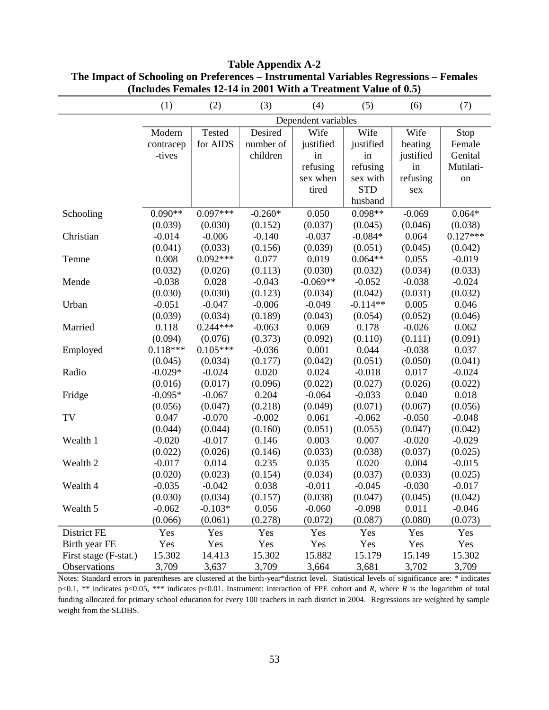|                       | (1)                 | (2)           | (3)       | (4)        | (5)        | (6)       | (7)        |  |
|-----------------------|---------------------|---------------|-----------|------------|------------|-----------|------------|--|
|                       | Dependent variables |               |           |            |            |           |            |  |
|                       | Modern              | <b>Tested</b> | Desired   | Wife       | Wife       | Wife      | Stop       |  |
|                       | contracep           | for AIDS      | number of | justified  | justified  | beating   | Female     |  |
|                       | -tives              |               | children  | in         | in         | justified | Genital    |  |
|                       |                     |               |           | refusing   | refusing   | in        | Mutilati-  |  |
|                       |                     |               |           | sex when   | sex with   | refusing  | on         |  |
|                       |                     |               |           | tired      | <b>STD</b> | sex       |            |  |
|                       |                     |               |           |            | husband    |           |            |  |
| Schooling             | $0.090**$           | $0.097***$    | $-0.260*$ | 0.050      | $0.098**$  | $-0.069$  | $0.064*$   |  |
|                       | (0.039)             | (0.030)       | (0.152)   | (0.037)    | (0.045)    | (0.046)   | (0.038)    |  |
| Christian             | $-0.014$            | $-0.006$      | $-0.140$  | $-0.037$   | $-0.084*$  | 0.064     | $0.127***$ |  |
|                       | (0.041)             | (0.033)       | (0.156)   | (0.039)    | (0.051)    | (0.045)   | (0.042)    |  |
| Temne                 | 0.008               | $0.092***$    | 0.077     | 0.019      | $0.064**$  | 0.055     | $-0.019$   |  |
|                       | (0.032)             | (0.026)       | (0.113)   | (0.030)    | (0.032)    | (0.034)   | (0.033)    |  |
| Mende                 | $-0.038$            | 0.028         | $-0.043$  | $-0.069**$ | $-0.052$   | $-0.038$  | $-0.024$   |  |
|                       | (0.030)             | (0.030)       | (0.123)   | (0.034)    | (0.042)    | (0.031)   | (0.032)    |  |
| Urban                 | $-0.051$            | $-0.047$      | $-0.006$  | $-0.049$   | $-0.114**$ | 0.005     | 0.046      |  |
|                       | (0.039)             | (0.034)       | (0.189)   | (0.043)    | (0.054)    | (0.052)   | (0.046)    |  |
| Married               | 0.118               | $0.244***$    | $-0.063$  | 0.069      | 0.178      | $-0.026$  | 0.062      |  |
|                       | (0.094)             | (0.076)       | (0.373)   | (0.092)    | (0.110)    | (0.111)   | (0.091)    |  |
| Employed              | $0.118***$          | $0.105***$    | $-0.036$  | 0.001      | 0.044      | $-0.038$  | 0.037      |  |
|                       | (0.045)             | (0.034)       | (0.177)   | (0.042)    | (0.051)    | (0.050)   | (0.041)    |  |
| Radio                 | $-0.029*$           | $-0.024$      | 0.020     | 0.024      | $-0.018$   | 0.017     | $-0.024$   |  |
|                       | (0.016)             | (0.017)       | (0.096)   | (0.022)    | (0.027)    | (0.026)   | (0.022)    |  |
| Fridge                | $-0.095*$           | $-0.067$      | 0.204     | $-0.064$   | $-0.033$   | 0.040     | 0.018      |  |
|                       | (0.056)             | (0.047)       | (0.218)   | (0.049)    | (0.071)    | (0.067)   | (0.056)    |  |
| TV                    | 0.047               | $-0.070$      | $-0.002$  | 0.061      | $-0.062$   | $-0.050$  | $-0.048$   |  |
|                       | (0.044)             | (0.044)       | (0.160)   | (0.051)    | (0.055)    | (0.047)   | (0.042)    |  |
| Wealth 1              | $-0.020$            | $-0.017$      | 0.146     | 0.003      | 0.007      | $-0.020$  | $-0.029$   |  |
|                       | (0.022)             | (0.026)       | (0.146)   | (0.033)    | (0.038)    | (0.037)   | (0.025)    |  |
| Wealth 2              | $-0.017$            | 0.014         | 0.235     | 0.035      | 0.020      | 0.004     | $-0.015$   |  |
|                       | (0.020)             | (0.023)       | (0.154)   | (0.034)    | (0.037)    | (0.033)   | (0.025)    |  |
| Wealth 4              | $-0.035$            | $-0.042$      | 0.038     | $-0.011$   | $-0.045$   | $-0.030$  | $-0.017$   |  |
|                       | (0.030)             | (0.034)       | (0.157)   | (0.038)    | (0.047)    | (0.045)   | (0.042)    |  |
| Wealth 5              | $-0.062$            | $-0.103*$     | 0.056     | $-0.060$   | $-0.098$   | 0.011     | $-0.046$   |  |
|                       | (0.066)             | (0.061)       | (0.278)   | (0.072)    | (0.087)    | (0.080)   | (0.073)    |  |
| District FE           | Yes                 | Yes           | Yes       | Yes        | Yes        | Yes       | Yes        |  |
| Birth year FE         | Yes                 | Yes           | Yes       | Yes        | Yes        | Yes       | Yes        |  |
| First stage (F-stat.) | 15.302              | 14.413        | 15.302    | 15.882     | 15.179     | 15.149    | 15.302     |  |
| Observations          | 3,709               | 3,637         | 3,709     | 3,664      | 3,681      | 3,702     | 3,709      |  |

**Table Appendix A-2 The Impact of Schooling on Preferences – Instrumental Variables Regressions – Females (Includes Females 12-14 in 2001 With a Treatment Value of 0.5)**

Notes: Standard errors in parentheses are clustered at the birth-year\*district level. Statistical levels of significance are: \* indicates p<0.1, \*\* indicates p<0.05, \*\*\* indicates p<0.01. Instrument: interaction of FPE cohort and *R*, where *R* is the logarithm of total funding allocated for primary school education for every 100 teachers in each district in 2004. Regressions are weighted by sample weight from the SLDHS.